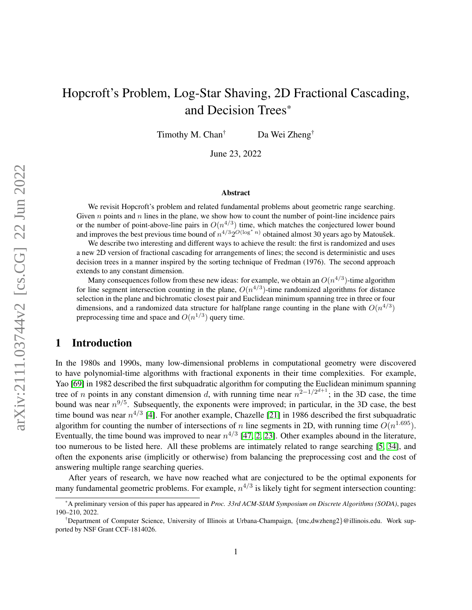# Hopcroft's Problem, Log-Star Shaving, 2D Fractional Cascading, and Decision Trees\*

Timothy M. Chan<sup>†</sup> Da Wei Zheng<sup>†</sup>

June 23, 2022

#### Abstract

We revisit Hopcroft's problem and related fundamental problems about geometric range searching. Given  $n$  points and  $n$  lines in the plane, we show how to count the number of point-line incidence pairs or the number of point-above-line pairs in  $O(n^{4/3})$  time, which matches the conjectured lower bound and improves the best previous time bound of  $n^{4/3}2^{O(\log^* n)}$  obtained almost 30 years ago by Matoušek.

We describe two interesting and different ways to achieve the result: the first is randomized and uses a new 2D version of fractional cascading for arrangements of lines; the second is deterministic and uses decision trees in a manner inspired by the sorting technique of Fredman (1976). The second approach extends to any constant dimension.

Many consequences follow from these new ideas: for example, we obtain an  $O(n^{4/3})$ -time algorithm for line segment intersection counting in the plane,  $O(n^{4/3})$ -time randomized algorithms for distance selection in the plane and bichromatic closest pair and Euclidean minimum spanning tree in three or four dimensions, and a randomized data structure for halfplane range counting in the plane with  $O(n^{4/3})$ preprocessing time and space and  $O(n^{1/3})$  query time.

# 1 Introduction

In the 1980s and 1990s, many low-dimensional problems in computational geometry were discovered to have polynomial-time algorithms with fractional exponents in their time complexities. For example, Yao [\[69\]](#page-28-0) in 1982 described the first subquadratic algorithm for computing the Euclidean minimum spanning tree of *n* points in any constant dimension d, with running time near  $n^{2-1/2^{d+1}}$ ; in the 3D case, the time bound was near  $n^{9/5}$ . Subsequently, the exponents were improved; in particular, in the 3D case, the best time bound was near  $n^{4/3}$  [\[4\]](#page-25-0). For another example, Chazelle [\[21\]](#page-26-0) in 1986 described the first subquadratic algorithm for counting the number of intersections of n line segments in 2D, with running time  $O(n^{1.695})$ . Eventually, the time bound was improved to near  $n^{4/3}$  [\[47,](#page-27-0) [2,](#page-25-1) [23\]](#page-26-1). Other examples abound in the literature, too numerous to be listed here. All these problems are intimately related to range searching [\[5,](#page-25-2) [34\]](#page-26-2), and often the exponents arise (implicitly or otherwise) from balancing the preprocessing cost and the cost of answering multiple range searching queries.

After years of research, we have now reached what are conjectured to be the optimal exponents for many fundamental geometric problems. For example,  $n^{4/3}$  is likely tight for segment intersection counting:

<sup>\*</sup>A preliminary version of this paper has appeared in *Proc. 33rd ACM-SIAM Symposium on Discrete Algorithms (SODA)*, pages 190–210, 2022.

<sup>†</sup>Department of Computer Science, University of Illinois at Urbana-Champaign, {tmc,dwzheng2}@illinois.edu. Work supported by NSF Grant CCF-1814026.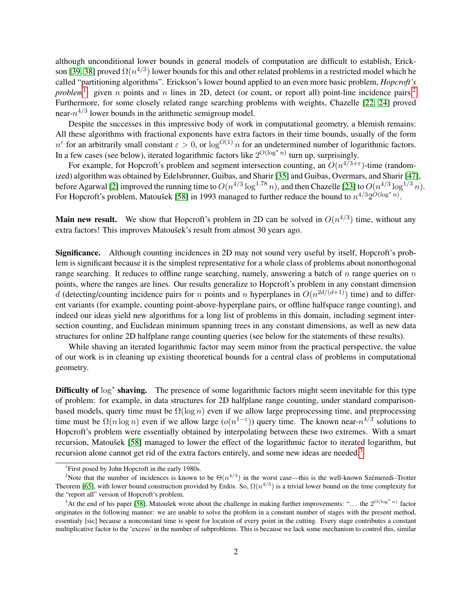although unconditional lower bounds in general models of computation are difficult to establish, Erick-son [\[39,](#page-27-1) [38\]](#page-27-2) proved  $\Omega(n^{4/3})$  lower bounds for this and other related problems in a restricted model which he called "partitioning algorithms". Erickson's lower bound applied to an even more basic problem, *Hopcroft's problem*<sup>[1](#page-1-0)</sup>: given *n* points and *n* lines in [2](#page-1-1)D, detect (or count, or report all) point-line incidence pairs.<sup>2</sup> Furthermore, for some closely related range searching problems with weights, Chazelle [\[22,](#page-26-3) [24\]](#page-26-4) proved near- $n^{4/3}$  lower bounds in the arithmetic semigroup model.

Despite the successes in this impressive body of work in computational geometry, a blemish remains: All these algorithms with fractional exponents have extra factors in their time bounds, usually of the form  $n^{\varepsilon}$  for an arbitrarily small constant  $\varepsilon > 0$ , or  $\log^{O(1)} n$  for an undetermined number of logarithmic factors. In a few cases (see below), iterated logarithmic factors like  $2^{O(\log^* n)}$  turn up, surprisingly.

For example, for Hopcroft's problem and segment intersection counting, an  $O(n^{4/3+\epsilon})$ -time (randomized) algorithm was obtained by Edelsbrunner, Guibas, and Sharir [\[35\]](#page-26-5) and Guibas, Overmars, and Sharir [\[47\]](#page-27-0), before Agarwal [\[2\]](#page-25-1) improved the running time to  $O(n^{4/3} \log^{1.78} n)$ , and then Chazelle [\[23\]](#page-26-1) to  $O(n^{4/3} \log^{1/3} n)$ . For Hopcroft's problem, Matoušek [\[58\]](#page-28-1) in 1993 managed to further reduce the bound to  $n^{4/3}2^{\tilde{O}(\log^* n)}$ .

**Main new result.** We show that Hopcroft's problem in 2D can be solved in  $O(n^{4/3})$  time, without any extra factors! This improves Matoušek's result from almost 30 years ago.

Significance. Although counting incidences in 2D may not sound very useful by itself, Hopcroft's problem is significant because it is the simplest representative for a whole class of problems about nonorthogonal range searching. It reduces to offline range searching, namely, answering a batch of  $n$  range queries on  $n$ points, where the ranges are lines. Our results generalize to Hopcroft's problem in any constant dimension d (detecting/counting incidence pairs for n points and n hyperplanes in  $O(n^{2d/(d+1)})$  time) and to different variants (for example, counting point-above-hyperplane pairs, or offline halfspace range counting), and indeed our ideas yield new algorithms for a long list of problems in this domain, including segment intersection counting, and Euclidean minimum spanning trees in any constant dimensions, as well as new data structures for online 2D halfplane range counting queries (see below for the statements of these results).

While shaving an iterated logarithmic factor may seem minor from the practical perspective, the value of our work is in cleaning up existing theoretical bounds for a central class of problems in computational geometry.

Difficulty of log<sup>\*</sup> shaving. The presence of some logarithmic factors might seem inevitable for this type of problem: for example, in data structures for 2D halfplane range counting, under standard comparisonbased models, query time must be  $\Omega(\log n)$  even if we allow large preprocessing time, and preprocessing time must be  $\Omega(n \log n)$  even if we allow large  $(o(n^{1-\epsilon}))$  query time. The known near- $n^{4/3}$  solutions to Hopcroft's problem were essentially obtained by interpolating between these two extremes. With a smart recursion, Matoušek [\[58\]](#page-28-1) managed to lower the effect of the logarithmic factor to iterated logarithm, but recursion alone cannot get rid of the extra factors entirely, and some new ideas are needed.<sup>[3](#page-1-2)</sup>

<span id="page-1-1"></span><span id="page-1-0"></span><sup>&</sup>lt;sup>1</sup>First posed by John Hopcroft in the early 1980s.

<sup>&</sup>lt;sup>2</sup>Note that the number of incidences is known to be  $\Theta(n^{4/3})$  in the worst case—this is the well-known Szémeredi–Trotter Theorem [\[65\]](#page-28-2), with lower bound construction provided by Erdös. So,  $\Omega(n^{4/3})$  is a trivial lower bound on the time complexity for the "report all" version of Hopcroft's problem.

<span id="page-1-2"></span><sup>&</sup>lt;sup>3</sup>At the end of his paper [\[58\]](#page-28-1), Matoušek wrote about the challenge in making further improvements: "... the  $2^{O(\log^* n)}$  factor originates in the following manner: we are unable to solve the problem in a constant number of stages with the present method, essentialy [sic] because a nonconstant time is spent for location of every point in the cutting. Every stage contributes a constant multiplicative factor to the 'excess' in the number of subproblems. This is because we lack some mechanism to control this, similar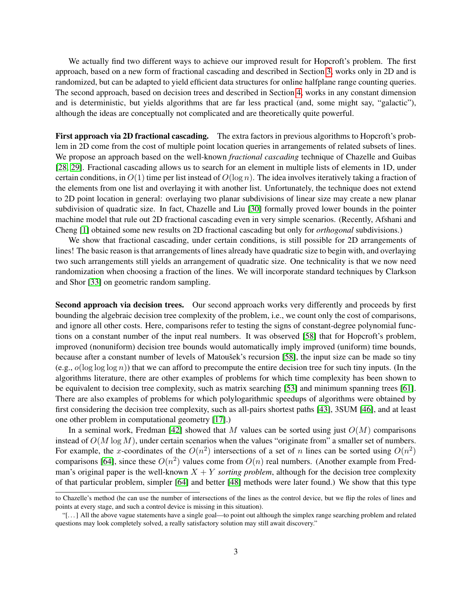We actually find two different ways to achieve our improved result for Hopcroft's problem. The first approach, based on a new form of fractional cascading and described in Section [3,](#page-5-0) works only in 2D and is randomized, but can be adapted to yield efficient data structures for online halfplane range counting queries. The second approach, based on decision trees and described in Section [4,](#page-8-0) works in any constant dimension and is deterministic, but yields algorithms that are far less practical (and, some might say, "galactic"), although the ideas are conceptually not complicated and are theoretically quite powerful.

First approach via 2D fractional cascading. The extra factors in previous algorithms to Hopcroft's problem in 2D come from the cost of multiple point location queries in arrangements of related subsets of lines. We propose an approach based on the well-known *fractional cascading* technique of Chazelle and Guibas [\[28,](#page-26-6) [29\]](#page-26-7). Fractional cascading allows us to search for an element in multiple lists of elements in 1D, under certain conditions, in  $O(1)$  time per list instead of  $O(\log n)$ . The idea involves iteratively taking a fraction of the elements from one list and overlaying it with another list. Unfortunately, the technique does not extend to 2D point location in general: overlaying two planar subdivisions of linear size may create a new planar subdivision of quadratic size. In fact, Chazelle and Liu [\[30\]](#page-26-8) formally proved lower bounds in the pointer machine model that rule out 2D fractional cascading even in very simple scenarios. (Recently, Afshani and Cheng [\[1\]](#page-24-0) obtained some new results on 2D fractional cascading but only for *orthogonal* subdivisions.)

We show that fractional cascading, under certain conditions, is still possible for 2D arrangements of lines! The basic reason is that arrangements of lines already have quadratic size to begin with, and overlaying two such arrangements still yields an arrangement of quadratic size. One technicality is that we now need randomization when choosing a fraction of the lines. We will incorporate standard techniques by Clarkson and Shor [\[33\]](#page-26-9) on geometric random sampling.

Second approach via decision trees. Our second approach works very differently and proceeds by first bounding the algebraic decision tree complexity of the problem, i.e., we count only the cost of comparisons, and ignore all other costs. Here, comparisons refer to testing the signs of constant-degree polynomial functions on a constant number of the input real numbers. It was observed [\[58\]](#page-28-1) that for Hopcroft's problem, improved (nonuniform) decision tree bounds would automatically imply improved (uniform) time bounds, because after a constant number of levels of Matousek's recursion [\[58\]](#page-28-1), the input size can be made so tiny (e.g.,  $o(\log \log \log n)$ ) that we can afford to precompute the entire decision tree for such tiny inputs. (In the algorithms literature, there are other examples of problems for which time complexity has been shown to be equivalent to decision tree complexity, such as matrix searching [\[53\]](#page-28-3) and minimum spanning trees [\[61\]](#page-28-4). There are also examples of problems for which polylogarithmic speedups of algorithms were obtained by first considering the decision tree complexity, such as all-pairs shortest paths [\[43\]](#page-27-3), 3SUM [\[46\]](#page-27-4), and at least one other problem in computational geometry [\[17\]](#page-25-3).)

In a seminal work, Fredman [\[42\]](#page-27-5) showed that M values can be sorted using just  $O(M)$  comparisons instead of  $O(M \log M)$ , under certain scenarios when the values "originate from" a smaller set of numbers. For example, the x-coordinates of the  $O(n^2)$  intersections of a set of n lines can be sorted using  $O(n^2)$ comparisons [\[64\]](#page-28-5), since these  $O(n^2)$  values come from  $O(n)$  real numbers. (Another example from Fredman's original paper is the well-known  $X + Y$  *sorting problem*, although for the decision tree complexity of that particular problem, simpler [\[64\]](#page-28-5) and better [\[48\]](#page-27-6) methods were later found.) We show that this type

to Chazelle's method (he can use the number of intersections of the lines as the control device, but we flip the roles of lines and points at every stage, and such a control device is missing in this situation).

<sup>&</sup>quot;[. . . ] All the above vague statements have a single goal—to point out although the simplex range searching problem and related questions may look completely solved, a really satisfactory solution may still await discovery."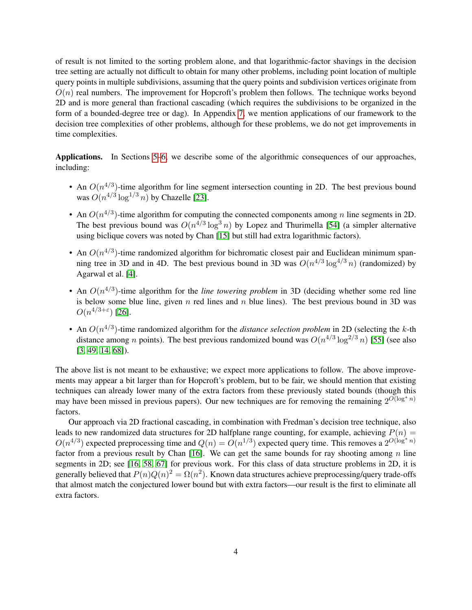of result is not limited to the sorting problem alone, and that logarithmic-factor shavings in the decision tree setting are actually not difficult to obtain for many other problems, including point location of multiple query points in multiple subdivisions, assuming that the query points and subdivision vertices originate from  $O(n)$  real numbers. The improvement for Hopcroft's problem then follows. The technique works beyond 2D and is more general than fractional cascading (which requires the subdivisions to be organized in the form of a bounded-degree tree or dag). In Appendix [7,](#page-21-0) we mention applications of our framework to the decision tree complexities of other problems, although for these problems, we do not get improvements in time complexities.

Applications. In Sections [5](#page-12-0)[–6,](#page-16-0) we describe some of the algorithmic consequences of our approaches, including:

- An  $O(n^{4/3})$ -time algorithm for line segment intersection counting in 2D. The best previous bound was  $O(n^{4/3} \log^{1/3} n)$  by Chazelle [\[23\]](#page-26-1).
- An  $O(n^{4/3})$ -time algorithm for computing the connected components among n line segments in 2D. The best previous bound was  $O(n^{4/3} \log^3 n)$  by Lopez and Thurimella [\[54\]](#page-28-6) (a simpler alternative using biclique covers was noted by Chan [\[15\]](#page-25-4) but still had extra logarithmic factors).
- An  $O(n^{4/3})$ -time randomized algorithm for bichromatic closest pair and Euclidean minimum spanning tree in 3D and in 4D. The best previous bound in 3D was  $O(n^{4/3} \log^{4/3} n)$  (randomized) by Agarwal et al. [\[4\]](#page-25-0).
- An  $O(n^{4/3})$ -time algorithm for the *line towering problem* in 3D (deciding whether some red line is below some blue line, given  $n$  red lines and  $n$  blue lines). The best previous bound in 3D was  $O(n^{4/3+\varepsilon})$  [\[26\]](#page-26-10).
- An  $O(n^{4/3})$ -time randomized algorithm for the *distance selection problem* in 2D (selecting the k-th distance among *n* points). The best previous randomized bound was  $O(n^{4/3} \log^{2/3} n)$  [\[55\]](#page-28-7) (see also [\[3,](#page-25-5) [49,](#page-27-7) [14,](#page-25-6) [68\]](#page-28-8)).

The above list is not meant to be exhaustive; we expect more applications to follow. The above improvements may appear a bit larger than for Hopcroft's problem, but to be fair, we should mention that existing techniques can already lower many of the extra factors from these previously stated bounds (though this may have been missed in previous papers). Our new techniques are for removing the remaining  $2^{O(\log^* n)}$ factors.

Our approach via 2D fractional cascading, in combination with Fredman's decision tree technique, also leads to new randomized data structures for 2D halfplane range counting, for example, achieving  $P(n)$  =  $O(n^{4/3})$  expected preprocessing time and  $Q(n) = O(n^{1/3})$  expected query time. This removes a  $2^{O(\log^* n)}$ factor from a previous result by Chan [\[16\]](#page-25-7). We can get the same bounds for ray shooting among  $n$  line segments in 2D; see [\[16,](#page-25-7) [58,](#page-28-1) [67\]](#page-28-9) for previous work. For this class of data structure problems in 2D, it is generally believed that  $P(n)Q(n)^2 = \Omega(n^2)$ . Known data structures achieve preprocessing/query trade-offs that almost match the conjectured lower bound but with extra factors—our result is the first to eliminate all extra factors.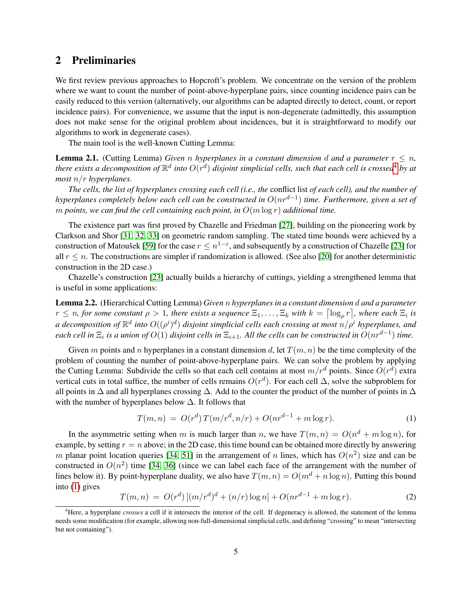# <span id="page-4-3"></span>2 Preliminaries

We first review previous approaches to Hopcroft's problem. We concentrate on the version of the problem where we want to count the number of point-above-hyperplane pairs, since counting incidence pairs can be easily reduced to this version (alternatively, our algorithms can be adapted directly to detect, count, or report incidence pairs). For convenience, we assume that the input is non-degenerate (admittedly, this assumption does not make sense for the original problem about incidences, but it is straightforward to modify our algorithms to work in degenerate cases).

The main tool is the well-known Cutting Lemma:

**Lemma 2.1.** (Cutting Lemma) *Given n hyperplanes* in a constant dimension *d* and a parameter  $r \leq n$ , there exists a decomposition of  $\mathbb{R}^d$  into  $O(r^d)$  disjoint simplicial cells, such that each cell is crossed<sup>[4](#page-4-0)</sup> by at *most* n/r *hyperplanes.*

*The cells, the list of hyperplanes crossing each cell (i.e., the* conflict list *of each cell), and the number of hyperplanes completely below each cell can be constructed in* O(nrd−<sup>1</sup> ) *time. Furthermore, given a set of* m points, we can find the cell containing each point, in  $O(m \log r)$  additional time.

The existence part was first proved by Chazelle and Friedman [\[27\]](#page-26-11), building on the pioneering work by Clarkson and Shor [\[31,](#page-26-12) [32,](#page-26-13) [33\]](#page-26-9) on geometric random sampling. The stated time bounds were achieved by a construction of Matoušek [\[59\]](#page-28-10) for the case  $r\leq n^{1-\varepsilon},$  and subsequently by a construction of Chazelle [\[23\]](#page-26-1) for all  $r \leq n$ . The constructions are simpler if randomization is allowed. (See also [\[20\]](#page-26-14) for another deterministic construction in the 2D case.)

Chazelle's construction [\[23\]](#page-26-1) actually builds a hierarchy of cuttings, yielding a strengthened lemma that is useful in some applications:

Lemma 2.2. (Hierarchical Cutting Lemma) *Given* n *hyperplanes in a constant dimension* d *and a parameter*  $r \leq n$ , for some constant  $\rho > 1$ , there exists a sequence  $\Xi_1, \ldots, \Xi_k$  with  $k = \lceil \log_\rho r \rceil$ , where each  $\Xi_i$  is a decomposition of  $\mathbb{R}^d$  into  $O((\rho^i)^d)$  disjoint simplicial cells each crossing at most  $n/\rho^i$  hyperplanes, and  $e$ ach cell in  $\Xi_i$  is a union of  $O(1)$  disjoint cells in  $\Xi_{i+1}$ . All the cells can be constructed in  $O(nr^{d-1})$  time.

Given m points and n hyperplanes in a constant dimension d, let  $T(m, n)$  be the time complexity of the problem of counting the number of point-above-hyperplane pairs. We can solve the problem by applying the Cutting Lemma: Subdivide the cells so that each cell contains at most  $m/r^d$  points. Since  $O(r^d)$  extra vertical cuts in total suffice, the number of cells remains  $O(r^d)$ . For each cell  $\Delta$ , solve the subproblem for all points in  $\Delta$  and all hyperplanes crossing  $\Delta$ . Add to the counter the product of the number of points in  $\Delta$ with the number of hyperplanes below  $\Delta$ . It follows that

<span id="page-4-1"></span>
$$
T(m,n) = O(r^d) T(m/r^d, n/r) + O(nr^{d-1} + m \log r).
$$
 (1)

In the asymmetric setting when m is much larger than n, we have  $T(m, n) = O(n^d + m \log n)$ , for example, by setting  $r = n$  above; in the 2D case, this time bound can be obtained more directly by answering m planar point location queries [\[34,](#page-26-2) [51\]](#page-27-8) in the arrangement of n lines, which has  $O(n^2)$  size and can be constructed in  $O(n^2)$  time [\[34,](#page-26-2) [36\]](#page-27-9) (since we can label each face of the arrangement with the number of lines below it). By point-hyperplane duality, we also have  $T(m, n) = O(m^d + n \log n)$ . Putting this bound into [\(1\)](#page-4-1) gives

<span id="page-4-2"></span>
$$
T(m,n) = O(r^d) [(m/r^d)^d + (n/r) \log n] + O(nr^{d-1} + m \log r).
$$
 (2)

<span id="page-4-0"></span><sup>4</sup>Here, a hyperplane *crosses* a cell if it intersects the interior of the cell. If degeneracy is allowed, the statement of the lemma needs some modification (for example, allowing non-full-dimensional simplicial cells, and defining "crossing" to mean "intersecting but not containing").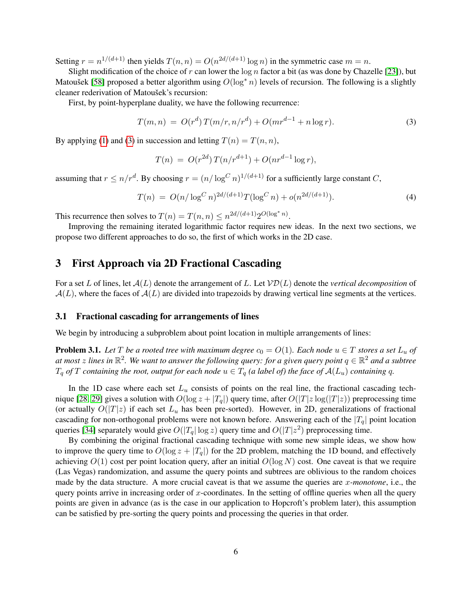Setting  $r = n^{1/(d+1)}$  then yields  $T(n, n) = O(n^{2d/(d+1)} \log n)$  in the symmetric case  $m = n$ .

Slight modification of the choice of r can lower the  $\log n$  factor a bit (as was done by Chazelle [\[23\]](#page-26-1)), but Matousek [\[58\]](#page-28-1) proposed a better algorithm using  $O(\log^* n)$  levels of recursion. The following is a slightly cleaner rederivation of Matoušek's recursion:

First, by point-hyperplane duality, we have the following recurrence:

<span id="page-5-1"></span>
$$
T(m, n) = O(rd) T(m/r, n/rd) + O(mrd-1 + n \log r).
$$
 (3)

By applying [\(1\)](#page-4-1) and [\(3\)](#page-5-1) in succession and letting  $T(n) = T(n, n)$ ,

$$
T(n) = O(r^{2d}) T(n/r^{d+1}) + O(nr^{d-1}\log r),
$$

assuming that  $r \le n/r^d$ . By choosing  $r = (n/\log^C n)^{1/(d+1)}$  for a sufficiently large constant C,

<span id="page-5-3"></span>
$$
T(n) = O(n/\log^C n)^{2d/(d+1)} T(\log^C n) + o(n^{2d/(d+1)}).
$$
\n(4)

This recurrence then solves to  $T(n) = T(n, n) \leq n^{2d/(d+1)} 2^{O(\log^* n)}$ .

Improving the remaining iterated logarithmic factor requires new ideas. In the next two sections, we propose two different approaches to do so, the first of which works in the 2D case.

## <span id="page-5-0"></span>3 First Approach via 2D Fractional Cascading

For a set L of lines, let  $A(L)$  denote the arrangement of L. Let  $VD(L)$  denote the *vertical decomposition* of  $\mathcal{A}(L)$ , where the faces of  $\mathcal{A}(L)$  are divided into trapezoids by drawing vertical line segments at the vertices.

#### 3.1 Fractional cascading for arrangements of lines

We begin by introducing a subproblem about point location in multiple arrangements of lines:

<span id="page-5-2"></span>**Problem 3.1.** Let T be a rooted tree with maximum degree  $c_0 = O(1)$ . Each node  $u \in T$  stores a set  $L_u$  of at most  $z$  lines in  $\mathbb{R}^2$ . We want to answer the following query: for a given query point  $q\in\mathbb{R}^2$  and a subtree  $T_q$  *of* T *containing the root, output for each node*  $u \in T_q$  *(a label of) the face of*  $\mathcal{A}(L_u)$  *containing* q.

In the 1D case where each set  $L<sub>u</sub>$  consists of points on the real line, the fractional cascading tech-nique [\[28,](#page-26-6) [29\]](#page-26-7) gives a solution with  $O(\log z + |T_q|)$  query time, after  $O(|T|z \log(|T|z))$  preprocessing time (or actually  $O(|T|z)$  if each set  $L_u$  has been pre-sorted). However, in 2D, generalizations of fractional cascading for non-orthogonal problems were not known before. Answering each of the  $|T_a|$  point location queries [\[34\]](#page-26-2) separately would give  $O(|T_q| \log z)$  query time and  $O(|T|z^2)$  preprocessing time.

By combining the original fractional cascading technique with some new simple ideas, we show how to improve the query time to  $O(\log z + |T_q|)$  for the 2D problem, matching the 1D bound, and effectively achieving  $O(1)$  cost per point location query, after an initial  $O(\log N)$  cost. One caveat is that we require (Las Vegas) randomization, and assume the query points and subtrees are oblivious to the random choices made by the data structure. A more crucial caveat is that we assume the queries are x*-monotone*, i.e., the query points arrive in increasing order of x-coordinates. In the setting of offline queries when all the query points are given in advance (as is the case in our application to Hopcroft's problem later), this assumption can be satisfied by pre-sorting the query points and processing the queries in that order.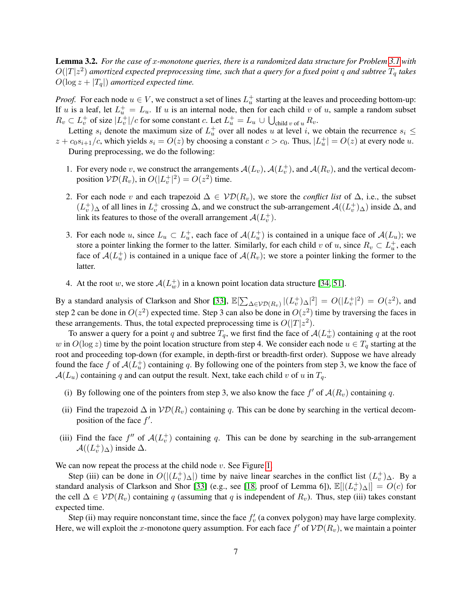<span id="page-6-0"></span>Lemma 3.2. *For the case of* x*-monotone queries, there is a randomized data structure for Problem [3.1](#page-5-2) with*  $O(|T|z^2)$  amortized expected preprocessing time, such that a query for a fixed point  $q$  and subtree  $T_q$  takes  $O(\log z + |T_q|)$  *amortized expected time.* 

*Proof.* For each node  $u \in V$ , we construct a set of lines  $L_u^+$  starting at the leaves and proceeding bottom-up: If u is a leaf, let  $L_u^+ = L_u$ . If u is an internal node, then for each child v of u, sample a random subset  $R_v \subset L_v^+$  of size  $|L_v^+|/c$  for some constant c. Let  $L_u^+ = L_u \cup \bigcup_{\text{child }v \text{ of } u} R_v$ .

Letting  $s_i$  denote the maximum size of  $L_u^+$  over all nodes u at level i, we obtain the recurrence  $s_i \leq$  $z + c_0 s_{i+1}/c$ , which yields  $s_i = O(z)$  by choosing a constant  $c > c_0$ . Thus,  $|L_u^+| = O(z)$  at every node u. During preprocessing, we do the following:

- 1. For every node v, we construct the arrangements  $A(L_v)$ ,  $A(L_v^+)$ , and  $A(R_v)$ , and the vertical decomposition  $\mathcal{VD}(R_v)$ , in  $O(|L_v^+|^2) = O(z^2)$  time.
- 2. For each node v and each trapezoid  $\Delta \in \mathcal{VD}(R_v)$ , we store the *conflict list* of  $\Delta$ , i.e., the subset  $(L_v^+)$   $\Delta$  of all lines in  $L_v^+$  crossing  $\Delta$ , and we construct the sub-arrangement  $\mathcal{A}((L_v^+)$  inside  $\Delta$ , and link its features to those of the overall arrangement  $\mathcal{A}(L_v^+)$ .
- 3. For each node u, since  $L_u \subset L_u^+$ , each face of  $A(L_u^+)$  is contained in a unique face of  $A(L_u)$ ; we store a pointer linking the former to the latter. Similarly, for each child v of u, since  $R_v \subset L_u^+$ , each face of  $A(L_u^+)$  is contained in a unique face of  $A(R_v)$ ; we store a pointer linking the former to the latter.
- 4. At the root w, we store  $A(L_w^+)$  in a known point location data structure [\[34,](#page-26-2) [51\]](#page-27-8).

By a standard analysis of Clarkson and Shor [\[33\]](#page-26-9),  $\mathbb{E}[\sum_{\Delta \in \mathcal{VD}(R_v)}|(L_v^+)_\Delta|^2] = O(|L_v^+|^2) = O(z^2)$ , and step 2 can be done in  $O(z^2)$  expected time. Step 3 can also be done in  $O(z^2)$  time by traversing the faces in these arrangements. Thus, the total expected preprocessing time is  $O(|T|z^2)$ .

To answer a query for a point q and subtree  $T_q$ , we first find the face of  $\mathcal{A}(L_w^+)$  containing q at the root w in  $O(\log z)$  time by the point location structure from step 4. We consider each node  $u \in T_q$  starting at the root and proceeding top-down (for example, in depth-first or breadth-first order). Suppose we have already found the face f of  $A(L_u^+)$  containing q. By following one of the pointers from step 3, we know the face of  $\mathcal{A}(L_u)$  containing q and can output the result. Next, take each child v of u in  $T_q$ .

- (i) By following one of the pointers from step 3, we also know the face  $f'$  of  $\mathcal{A}(R_v)$  containing q.
- (ii) Find the trapezoid  $\Delta$  in  $V\mathcal{D}(R_v)$  containing q. This can be done by searching in the vertical decomposition of the face  $f'$ .
- (iii) Find the face  $f''$  of  $\mathcal{A}(L_v^+)$  containing q. This can be done by searching in the sub-arrangement  $\mathcal{A}((L_v^+)_{\Delta})$  inside  $\Delta$ .

We can now repeat the process at the child node  $v$ . See Figure [1.](#page-7-0)

Step (iii) can be done in  $O(|(L_v^+)_{\Delta}|)$  time by naive linear searches in the conflict list  $(L_v^+)_{\Delta}$ . By a standard analysis of Clarkson and Shor [\[33\]](#page-26-9) (e.g., see [\[18,](#page-25-8) proof of Lemma 6]),  $\mathbb{E}[|(L_v^+)_{\Delta}|] = O(c)$  for the cell  $\Delta \in \mathcal{VD}(R_v)$  containing q (assuming that q is independent of  $R_v$ ). Thus, step (iii) takes constant expected time.

Step (ii) may require nonconstant time, since the face  $f'_{v}$  (a convex polygon) may have large complexity. Here, we will exploit the x-monotone query assumption. For each face  $f'$  of  $\mathcal{VD}(R_v)$ , we maintain a pointer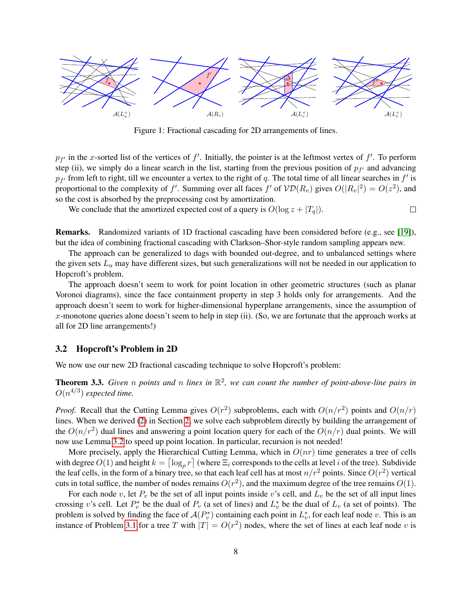<span id="page-7-0"></span>

Figure 1: Fractional cascading for 2D arrangements of lines.

 $p_{f'}$  in the x-sorted list of the vertices of f'. Initially, the pointer is at the leftmost vertex of f'. To perform step (ii), we simply do a linear search in the list, starting from the previous position of  $p_{f'}$  and advancing  $p_{f'}$  from left to right, till we encounter a vertex to the right of q. The total time of all linear searches in  $f'$  is proportional to the complexity of f'. Summing over all faces f' of  $\mathcal{VD}(R_v)$  gives  $O(|R_v|^2) = O(z^2)$ , and so the cost is absorbed by the preprocessing cost by amortization.

We conclude that the amortized expected cost of a query is  $O(\log z + |T_a|)$ .  $\Box$ 

Remarks. Randomized variants of 1D fractional cascading have been considered before (e.g., see [\[19\]](#page-26-15)), but the idea of combining fractional cascading with Clarkson–Shor-style random sampling appears new.

The approach can be generalized to dags with bounded out-degree, and to unbalanced settings where the given sets  $L_u$  may have different sizes, but such generalizations will not be needed in our application to Hopcroft's problem.

The approach doesn't seem to work for point location in other geometric structures (such as planar Voronoi diagrams), since the face containment property in step 3 holds only for arrangements. And the approach doesn't seem to work for higher-dimensional hyperplane arrangements, since the assumption of x-monotone queries alone doesn't seem to help in step (ii). (So, we are fortunate that the approach works at all for 2D line arrangements!)

#### 3.2 Hopcroft's Problem in 2D

We now use our new 2D fractional cascading technique to solve Hopcroft's problem:

**Theorem 3.3.** Given n points and n lines in  $\mathbb{R}^2$ , we can count the number of point-above-line pairs in  $O(n^{4/3})$  expected time.

*Proof.* Recall that the Cutting Lemma gives  $O(r^2)$  subproblems, each with  $O(n/r^2)$  points and  $O(n/r)$ lines. When we derived [\(2\)](#page-4-2) in Section [2,](#page-4-3) we solve each subproblem directly by building the arrangement of the  $O(n/r^2)$  dual lines and answering a point location query for each of the  $O(n/r)$  dual points. We will now use Lemma [3.2](#page-6-0) to speed up point location. In particular, recursion is not needed!

More precisely, apply the Hierarchical Cutting Lemma, which in  $O(nr)$  time generates a tree of cells with degree  $O(1)$  and height  $k = \lceil \log_\rho r \rceil$  (where  $\Xi_i$  corresponds to the cells at level i of the tree). Subdivide the leaf cells, in the form of a binary tree, so that each leaf cell has at most  $n/r^2$  points. Since  $O(r^2)$  vertical cuts in total suffice, the number of nodes remains  $O(r^2)$ , and the maximum degree of the tree remains  $O(1)$ .

For each node v, let  $P_v$  be the set of all input points inside v's cell, and  $L_v$  be the set of all input lines crossing v's cell. Let  $P_v^*$  be the dual of  $P_v$  (a set of lines) and  $L_v^*$  be the dual of  $L_v$  (a set of points). The problem is solved by finding the face of  $\mathcal{A}(P_v^*)$  containing each point in  $L_v^*$ , for each leaf node v. This is an instance of Problem [3.1](#page-5-2) for a tree T with  $|T| = O(r^2)$  nodes, where the set of lines at each leaf node v is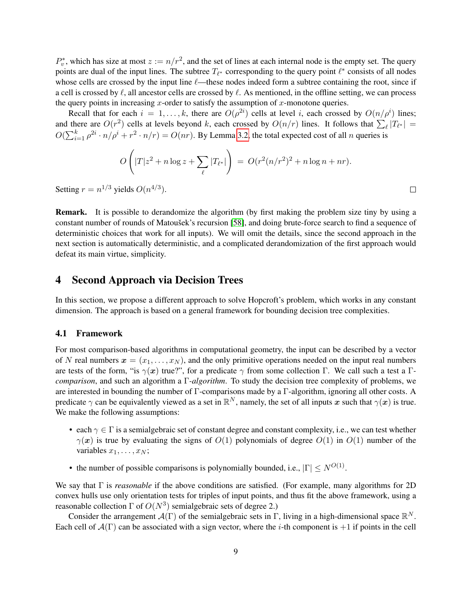$P_v^*$ , which has size at most  $z := n/r^2$ , and the set of lines at each internal node is the empty set. The query points are dual of the input lines. The subtree  $T_{\ell^*}$  corresponding to the query point  $\ell^*$  consists of all nodes whose cells are crossed by the input line  $\ell$ —these nodes indeed form a subtree containing the root, since if a cell is crossed by  $\ell$ , all ancestor cells are crossed by  $\ell$ . As mentioned, in the offline setting, we can process the query points in increasing x-order to satisfy the assumption of x-monotone queries.

Recall that for each  $i = 1, ..., k$ , there are  $O(\rho^{2i})$  cells at level i, each crossed by  $O(n/\rho^{i})$  lines; and there are  $O(r^2)$  cells at levels beyond k, each crossed by  $O(n/r)$  lines. It follows that  $\sum_{\ell} |T_{\ell^*}| =$  $O(\sum_{i=1}^k \rho^{2i} \cdot n/\rho^i + r^2 \cdot n/r) = O(nr)$ . By Lemma [3.2,](#page-6-0) the total expected cost of all n queries is

$$
O\left(|T|z^2 + n\log z + \sum_{\ell} |T_{\ell^*}|\right) = O(r^2(n/r^2)^2 + n\log n + nr).
$$

 $\Box$ 

Setting  $r = n^{1/3}$  yields  $O(n^{4/3})$ .

Remark. It is possible to derandomize the algorithm (by first making the problem size tiny by using a constant number of rounds of Matoušek's recursion [\[58\]](#page-28-1), and doing brute-force search to find a sequence of deterministic choices that work for all inputs). We will omit the details, since the second approach in the next section is automatically deterministic, and a complicated derandomization of the first approach would defeat its main virtue, simplicity.

## <span id="page-8-0"></span>4 Second Approach via Decision Trees

In this section, we propose a different approach to solve Hopcroft's problem, which works in any constant dimension. The approach is based on a general framework for bounding decision tree complexities.

#### <span id="page-8-1"></span>4.1 Framework

For most comparison-based algorithms in computational geometry, the input can be described by a vector of N real numbers  $x = (x_1, \ldots, x_N)$ , and the only primitive operations needed on the input real numbers are tests of the form, "is  $\gamma(x)$  true?", for a predicate  $\gamma$  from some collection Γ. We call such a test a Γ*comparison*, and such an algorithm a Γ*-algorithm*. To study the decision tree complexity of problems, we are interested in bounding the number of Γ-comparisons made by a Γ-algorithm, ignoring all other costs. A predicate  $\gamma$  can be equivalently viewed as a set in  $\mathbb{R}^N$ , namely, the set of all inputs x such that  $\gamma(x)$  is true. We make the following assumptions:

- each  $\gamma \in \Gamma$  is a semialgebraic set of constant degree and constant complexity, i.e., we can test whether  $\gamma(x)$  is true by evaluating the signs of  $O(1)$  polynomials of degree  $O(1)$  in  $O(1)$  number of the variables  $x_1, \ldots, x_N$ ;
- the number of possible comparisons is polynomially bounded, i.e.,  $|\Gamma| \le N^{O(1)}$ .

We say that Γ is *reasonable* if the above conditions are satisfied. (For example, many algorithms for 2D convex hulls use only orientation tests for triples of input points, and thus fit the above framework, using a reasonable collection  $\Gamma$  of  $O(N^3)$  semialgebraic sets of degree 2.)

Consider the arrangement  $\mathcal{A}(\Gamma)$  of the semialgebraic sets in  $\Gamma$ , living in a high-dimensional space  $\mathbb{R}^N$ . Each cell of  $A(\Gamma)$  can be associated with a sign vector, where the *i*-th component is +1 if points in the cell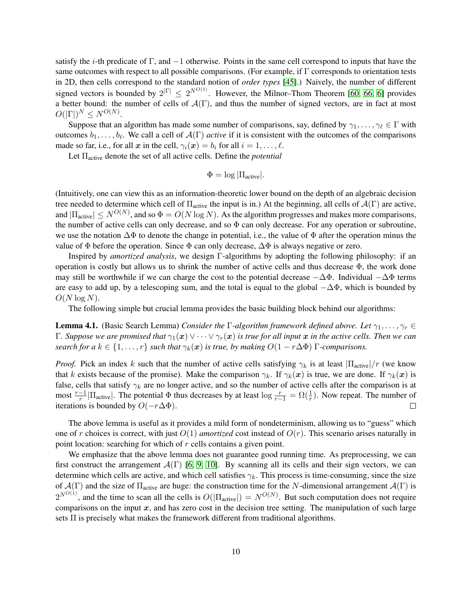satisfy the *i*-th predicate of  $\Gamma$ , and  $-1$  otherwise. Points in the same cell correspond to inputs that have the same outcomes with respect to all possible comparisons. (For example, if  $\Gamma$  corresponds to orientation tests in 2D, then cells correspond to the standard notion of *order types* [\[45\]](#page-27-10).) Naively, the number of different signed vectors is bounded by  $2^{|\Gamma|} \leq 2^{N^{O(1)}}$ . However, the Milnor–Thom Theorem [\[60,](#page-28-11) [66,](#page-28-12) [6\]](#page-25-9) provides a better bound: the number of cells of  $\mathcal{A}(\Gamma)$ , and thus the number of signed vectors, are in fact at most  $O(|\Gamma|)^N \leq N^{O(N)}.$ 

Suppose that an algorithm has made some number of comparisons, say, defined by  $\gamma_1, \ldots, \gamma_\ell \in \Gamma$  with outcomes  $b_1, \ldots, b_\ell$ . We call a cell of  $\mathcal{A}(\Gamma)$  *active* if it is consistent with the outcomes of the comparisons made so far, i.e., for all x in the cell,  $\gamma_i(x) = b_i$  for all  $i = 1, \ldots, \ell$ .

Let Πactive denote the set of all active cells. Define the *potential*

$$
\Phi = \log |\Pi_{\text{active}}|.
$$

(Intuitively, one can view this as an information-theoretic lower bound on the depth of an algebraic decision tree needed to determine which cell of  $\Pi_{\text{active}}$  the input is in.) At the beginning, all cells of  $\mathcal{A}(\Gamma)$  are active, and  $|\Pi_{\text{active}}| \leq N^{O(N)}$ , and so  $\Phi = O(N \log N)$ . As the algorithm progresses and makes more comparisons, the number of active cells can only decrease, and so  $\Phi$  can only decrease. For any operation or subroutine, we use the notation  $\Delta\Phi$  to denote the change in potential, i.e., the value of  $\Phi$  after the operation minus the value of  $\Phi$  before the operation. Since  $\Phi$  can only decrease,  $\Delta \Phi$  is always negative or zero.

Inspired by *amortized analysis*, we design Γ-algorithms by adopting the following philosophy: if an operation is costly but allows us to shrink the number of active cells and thus decrease  $\Phi$ , the work done may still be worthwhile if we can charge the cost to the potential decrease  $-\Delta\Phi$ . Individual  $-\Delta\Phi$  terms are easy to add up, by a telescoping sum, and the total is equal to the global  $-\Delta\Phi$ , which is bounded by  $O(N \log N)$ .

The following simple but crucial lemma provides the basic building block behind our algorithms:

<span id="page-9-0"></span>**Lemma 4.1.** (Basic Search Lemma) *Consider the*  $\Gamma$ -algorithm framework defined above. Let  $\gamma_1, \ldots, \gamma_r \in$ Γ*. Suppose we are promised that* γ1(x) ∨ · · · ∨ γr(x) *is true for all input* x *in the active cells. Then we can search for a*  $k \in \{1, \ldots, r\}$  *such that*  $\gamma_k(x)$  *is true, by making*  $O(1 - r\Delta\Phi)$  Γ-comparisons.

*Proof.* Pick an index k such that the number of active cells satisfying  $\gamma_k$  is at least  $|\Pi_{\text{active}}|/r$  (we know that k exists because of the promise). Make the comparison  $\gamma_k$ . If  $\gamma_k(x)$  is true, we are done. If  $\gamma_k(x)$  is false, cells that satisfy  $\gamma_k$  are no longer active, and so the number of active cells after the comparison is at most  $\frac{r-1}{r}$ | $\Pi_{\text{active}}$ |. The potential  $\Phi$  thus decreases by at least  $\log \frac{r}{r-1} = \Omega(\frac{1}{r})$ . Now repeat. The number of iterations is bounded by  $O(-r\Delta\Phi)$ .  $\Box$ 

The above lemma is useful as it provides a mild form of nondeterminism, allowing us to "guess" which one of r choices is correct, with just  $O(1)$  *amortized* cost instead of  $O(r)$ . This scenario arises naturally in point location: searching for which of r cells contains a given point.

We emphasize that the above lemma does not guarantee good running time. As preprocessing, we can first construct the arrangement  $\mathcal{A}(\Gamma)$  [\[6,](#page-25-9) [9,](#page-25-10) [10\]](#page-25-11). By scanning all its cells and their sign vectors, we can determine which cells are active, and which cell satisfies  $\gamma_k$ . This process is time-consuming, since the size of  $\mathcal{A}(\Gamma)$  and the size of  $\Pi_{\text{active}}$  are huge: the construction time for the N-dimensional arrangement  $\mathcal{A}(\Gamma)$  is  $2^{N^{O(1)}}$ , and the time to scan all the cells is  $O(|\Pi_{\text{active}}|) = N^{O(N)}$ . But such computation does not require comparisons on the input  $x$ , and has zero cost in the decision tree setting. The manipulation of such large sets  $\Pi$  is precisely what makes the framework different from traditional algorithms.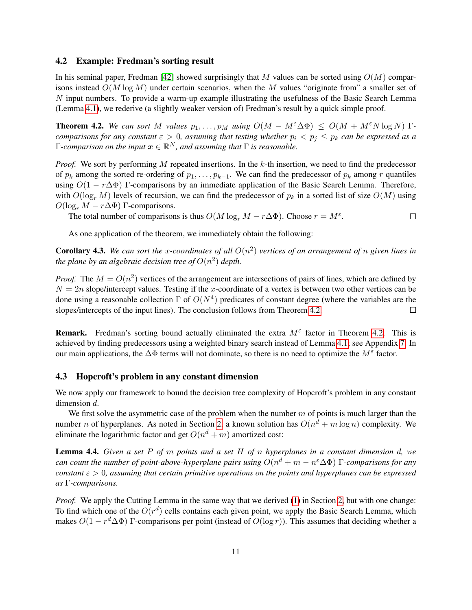#### <span id="page-10-3"></span>4.2 Example: Fredman's sorting result

In his seminal paper, Fredman [\[42\]](#page-27-5) showed surprisingly that M values can be sorted using  $O(M)$  comparisons instead  $O(M \log M)$  under certain scenarios, when the M values "originate from" a smaller set of N input numbers. To provide a warm-up example illustrating the usefulness of the Basic Search Lemma (Lemma [4.1\)](#page-9-0), we rederive (a slightly weaker version of) Fredman's result by a quick simple proof.

<span id="page-10-0"></span>**Theorem 4.2.** We can sort M values  $p_1, \ldots, p_M$  using  $O(M - M^{\varepsilon} \Delta \Phi) \leq O(M + M^{\varepsilon} N \log N)$  Γ*comparisons for any constant*  $\varepsilon > 0$ , assuming that testing whether  $p_i < p_j \leq p_k$  can be expressed as a  $\Gamma$ -comparison on the input  $\boldsymbol{x} \in \mathbb{R}^N$ , and assuming that  $\Gamma$  is reasonable.

*Proof.* We sort by performing M repeated insertions. In the k-th insertion, we need to find the predecessor of  $p_k$  among the sorted re-ordering of  $p_1, \ldots, p_{k-1}$ . We can find the predecessor of  $p_k$  among r quantiles using  $O(1 - r\Delta\Phi)$  Γ-comparisons by an immediate application of the Basic Search Lemma. Therefore, with  $O(\log_r M)$  levels of recursion, we can find the predecessor of  $p_k$  in a sorted list of size  $O(M)$  using  $O(\log_r M - r\Delta\Phi)$  Γ-comparisons.

The total number of comparisons is thus  $O(M \log_r M - r \Delta \Phi)$ . Choose  $r = M^{\varepsilon}$ .  $\Box$ 

As one application of the theorem, we immediately obtain the following:

**Corollary 4.3.** We can sort the x-coordinates of all  $O(n^2)$  vertices of an arrangement of n given lines in the plane by an algebraic decision tree of  $O(n^2)$  depth.

*Proof.* The  $M = O(n^2)$  vertices of the arrangement are intersections of pairs of lines, which are defined by  $N = 2n$  slope/intercept values. Testing if the x-coordinate of a vertex is between two other vertices can be done using a reasonable collection  $\Gamma$  of  $O(N^4)$  predicates of constant degree (where the variables are the slopes/intercepts of the input lines). The conclusion follows from Theorem [4.2.](#page-10-0)  $\Box$ 

**Remark.** Fredman's sorting bound actually eliminated the extra  $M^{\epsilon}$  factor in Theorem [4.2.](#page-10-0) This is achieved by finding predecessors using a weighted binary search instead of Lemma [4.1;](#page-9-0) see Appendix [7.](#page-21-0) In our main applications, the  $\Delta\Phi$  terms will not dominate, so there is no need to optimize the  $M^{\epsilon}$  factor.

#### <span id="page-10-2"></span>4.3 Hopcroft's problem in any constant dimension

We now apply our framework to bound the decision tree complexity of Hopcroft's problem in any constant dimension d.

We first solve the asymmetric case of the problem when the number  $m$  of points is much larger than the number *n* of hyperplanes. As noted in Section [2,](#page-4-3) a known solution has  $O(n^d + m \log n)$  complexity. We eliminate the logarithmic factor and get  $O(n^d + m)$  amortized cost:

<span id="page-10-1"></span>Lemma 4.4. *Given a set* P *of* m *points and a set* H *of* n *hyperplanes in a constant dimension* d*, we can count the number of point-above-hyperplane pairs using* O(n <sup>d</sup> + m − n <sup>ε</sup>∆Φ) Γ*-comparisons for any constant*  $\epsilon > 0$ , assuming that certain primitive operations on the points and hyperplanes can be expressed *as* Γ*-comparisons.*

*Proof.* We apply the Cutting Lemma in the same way that we derived [\(1\)](#page-4-1) in Section [2,](#page-4-3) but with one change: To find which one of the  $O(r^d)$  cells contains each given point, we apply the Basic Search Lemma, which makes  $O(1 - r^d \Delta \Phi)$  Γ-comparisons per point (instead of  $O(\log r)$ ). This assumes that deciding whether a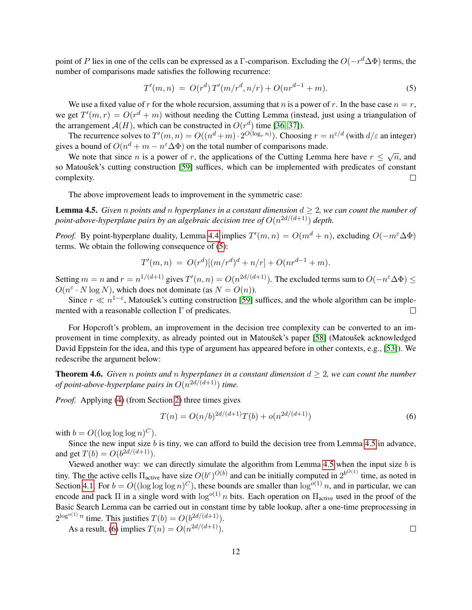point of P lies in one of the cells can be expressed as a Γ-comparison. Excluding the  $O(-r^d\Delta\Phi)$  terms, the number of comparisons made satisfies the following recurrence:

<span id="page-11-0"></span>
$$
T'(m,n) = O(r^d) T'(m/r^d, n/r) + O(nr^{d-1} + m). \tag{5}
$$

We use a fixed value of r for the whole recursion, assuming that n is a power of r. In the base case  $n = r$ , we get  $T'(m,r) = O(r^d + m)$  without needing the Cutting Lemma (instead, just using a triangulation of the arrangement  $A(H)$ , which can be constructed in  $O(r^d)$  time [\[36,](#page-27-9) [37\]](#page-27-11)).

The recurrence solves to  $T'(m, n) = O((n^d + m) \cdot 2^{O(\log_r n)})$ . Choosing  $r = n^{\varepsilon/d}$  (with  $d/\varepsilon$  an integer) gives a bound of  $O(n^d + m - n^{\epsilon} \Delta \Phi)$  on the total number of comparisons made.

We note that since *n* is a power of *r*, the applications of the Cutting Lemma here have  $r \le \sqrt{n}$ , and We note that since *n* is a power of *r*, the applications of the Cutting Lemma here have  $r \le \sqrt{n}$ , and so Matoušek's cutting construction [\[59\]](#page-28-10) suffices, which can be implemented with predicates of constant complexity.  $\Box$ 

The above improvement leads to improvement in the symmetric case:

<span id="page-11-1"></span>**Lemma 4.5.** *Given n points and n hyperplanes in a constant dimension*  $d \geq 2$ *, we can count the number of* point-above-hyperplane pairs by an algebraic decision tree of  $O(n^{2d/(d+1)})$  depth.

*Proof.* By point-hyperplane duality, Lemma [4.4](#page-10-1) implies  $T'(m, n) = O(m^d + n)$ , excluding  $O(-m^{\epsilon} \Delta \Phi)$ terms. We obtain the following consequence of [\(5\)](#page-11-0):

$$
T'(m,n) = O(r^d)[(m/r^d)^d + n/r] + O(nr^{d-1} + m).
$$

Setting  $m = n$  and  $r = n^{1/(d+1)}$  gives  $T'(n, n) = O(n^{2d/(d+1)})$ . The excluded terms sum to  $O(-n^{\varepsilon} \Delta \Phi) \le$  $O(n^{\varepsilon} \cdot N \log N)$ , which does not dominate (as  $N = O(n)$ ).

Since  $r \ll n^{1-\epsilon}$ , Matoušek's cutting construction [\[59\]](#page-28-10) suffices, and the whole algorithm can be implemented with a reasonable collection Γ of predicates.  $\Box$ 

For Hopcroft's problem, an improvement in the decision tree complexity can be converted to an im-provement in time complexity, as already pointed out in Matoušek's paper [\[58\]](#page-28-1) (Matoušek acknowledged David Eppstein for the idea, and this type of argument has appeared before in other contexts, e.g., [\[53\]](#page-28-3)). We redescribe the argument below:

<span id="page-11-3"></span>**Theorem 4.6.** *Given n points* and *n hyperplanes* in a constant dimension  $d \geq 2$ *, we can count the number of point-above-hyperplane pairs in* O(n <sup>2</sup>d/(d+1)) *time.*

*Proof.* Applying [\(4\)](#page-5-3) (from Section [2\)](#page-4-3) three times gives

<span id="page-11-2"></span>
$$
T(n) = O(n/b)^{2d/(d+1)}T(b) + o(n^{2d/(d+1)})
$$
\n(6)

with  $b = O((\log \log \log n)^C)$ .

Since the new input size  $b$  is tiny, we can afford to build the decision tree from Lemma [4.5](#page-11-1) in advance, and get  $T(b) = O(b^{2d/(d+1)})$ .

Viewed another way: we can directly simulate the algorithm from Lemma  $4.5$  when the input size  $b$  is tiny. The the active cells  $\Pi_{\text{active}}$  have size  $O(b^c)^{O(b)}$  and can be initially computed in  $2^{b^{O(1)}}$  time, as noted in Section [4.1.](#page-8-1) For  $b = O((\log \log \log n)^C)$ , these bounds are smaller than  $\log^{o(1)} n$ , and in particular, we can encode and pack  $\Pi$  in a single word with  $\log^{o(1)} n$  bits. Each operation on  $\Pi_{\text{active}}$  used in the proof of the Basic Search Lemma can be carried out in constant time by table lookup, after a one-time preprocessing in  $2^{\log^{o(1)} n}$  time. This justifies  $T(b) = O(b^{2d/(d+1)})$ .

As a result, [\(6\)](#page-11-2) implies  $T(n) = O(n^{2d/(d+1)})$ .

 $\Box$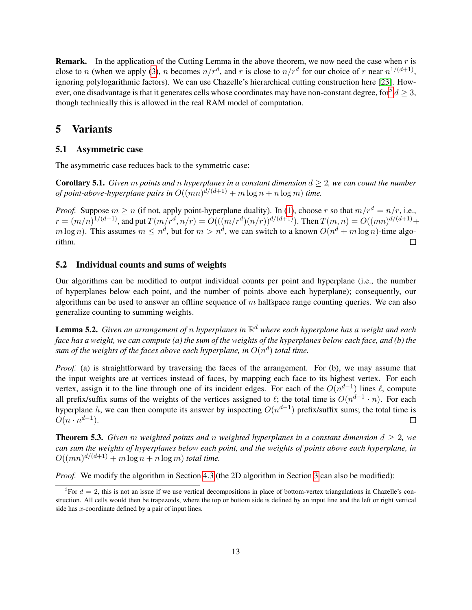**Remark.** In the application of the Cutting Lemma in the above theorem, we now need the case when  $r$  is close to n (when we apply [\(3\)](#page-5-1), n becomes  $n/r^d$ , and r is close to  $n/r^d$  for our choice of r near  $n^{1/(d+1)}$ , ignoring polylogarithmic factors). We can use Chazelle's hierarchical cutting construction here [\[23\]](#page-26-1). However, one disadvantage is that it generates cells whose coordinates may have non-constant degree, for  $d \geq 3$ , though technically this is allowed in the real RAM model of computation.

### <span id="page-12-0"></span>5 Variants

#### 5.1 Asymmetric case

The asymmetric case reduces back to the symmetric case:

<span id="page-12-3"></span>Corollary 5.1. *Given* m *points and* n *hyperplanes in a constant dimension* d ≥ 2*, we can count the number of point-above-hyperplane pairs in*  $O((mn)^{d/(d+1)} + m \log n + n \log m)$  *time.* 

*Proof.* Suppose  $m \ge n$  (if not, apply point-hyperplane duality). In [\(1\)](#page-4-1), choose r so that  $m/r^d = n/r$ , i.e.,  $r = (m/n)^{1/(d-1)}$ , and put  $T(m/r^d, n/r) = O(((m/r^d)(n/r))^{d/(d+1)})$ . Then  $T(m, n) = O((mn)^{d/(d+1)} +$  $m \log n$ ). This assumes  $m \leq n^d$ , but for  $m > n^d$ , we can switch to a known  $O(n^d + m \log n)$ -time algorithm.  $\Box$ 

#### 5.2 Individual counts and sums of weights

Our algorithms can be modified to output individual counts per point and hyperplane (i.e., the number of hyperplanes below each point, and the number of points above each hyperplane); consequently, our algorithms can be used to answer an offline sequence of  $m$  halfspace range counting queries. We can also generalize counting to summing weights.

<span id="page-12-2"></span>Lemma 5.2. *Given an arrangement of* n *hyperplanes in* R <sup>d</sup> *where each hyperplane has a weight and each face has a weight, we can compute (a) the sum of the weights of the hyperplanes below each face, and (b) the* sum of the weights of the faces above each hyperplane, in  $O(n^d)$  total time.

*Proof.* (a) is straightforward by traversing the faces of the arrangement. For (b), we may assume that the input weights are at vertices instead of faces, by mapping each face to its highest vertex. For each vertex, assign it to the line through one of its incident edges. For each of the  $O(n^{d-1})$  lines  $\ell$ , compute all prefix/suffix sums of the weights of the vertices assigned to  $\ell$ ; the total time is  $O(n^{d-1} \cdot n)$ . For each hyperplane h, we can then compute its answer by inspecting  $O(n^{d-1})$  prefix/suffix sums; the total time is  $O(n \cdot n^{d-1}).$  $\Box$ 

**Theorem 5.3.** *Given* m *weighted points and* n *weighted hyperplanes in a constant dimension*  $d > 2$ *, we can sum the weights of hyperplanes below each point, and the weights of points above each hyperplane, in*  $O((mn)^{d/(d+1)} + m \log n + n \log m)$  *total time.* 

*Proof.* We modify the algorithm in Section [4.3](#page-10-2) (the 2D algorithm in Section [3](#page-5-0) can also be modified):

<span id="page-12-1"></span><sup>&</sup>lt;sup>5</sup>For  $d = 2$ , this is not an issue if we use vertical decompositions in place of bottom-vertex triangulations in Chazelle's construction. All cells would then be trapezoids, where the top or bottom side is defined by an input line and the left or right vertical side has x-coordinate defined by a pair of input lines.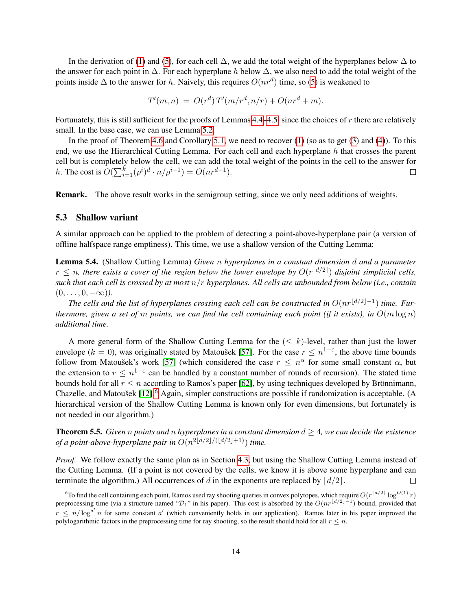In the derivation of [\(1\)](#page-4-1) and [\(5\)](#page-11-0), for each cell  $\Delta$ , we add the total weight of the hyperplanes below  $\Delta$  to the answer for each point in  $\Delta$ . For each hyperplane h below  $\Delta$ , we also need to add the total weight of the points inside  $\Delta$  to the answer for h. Naively, this requires  $O(nr^d)$  time, so [\(5\)](#page-11-0) is weakened to

$$
T'(m, n) = O(r^{d}) T'(m/r^{d}, n/r) + O(nr^{d} + m).
$$

Fortunately, this is still sufficient for the proofs of Lemmas [4.4–](#page-10-1)[4.5,](#page-11-1) since the choices of r there are relatively small. In the base case, we can use Lemma [5.2.](#page-12-2)

In the proof of Theorem [4.6](#page-11-3) and Corollary [5.1,](#page-12-3) we need to recover [\(1\)](#page-4-1) (so as to get [\(3\)](#page-5-1) and [\(4\)](#page-5-3)). To this end, we use the Hierarchical Cutting Lemma. For each cell and each hyperplane h that crosses the parent cell but is completely below the cell, we can add the total weight of the points in the cell to the answer for h. The cost is  $O(\sum_{i=1}^k (\rho^i)^d \cdot n/\rho^{i-1}) = O(nr^{d-1}).$  $\Box$ 

Remark. The above result works in the semigroup setting, since we only need additions of weights.

#### 5.3 Shallow variant

A similar approach can be applied to the problem of detecting a point-above-hyperplane pair (a version of offline halfspace range emptiness). This time, we use a shallow version of the Cutting Lemma:

Lemma 5.4. (Shallow Cutting Lemma) *Given* n *hyperplanes in a constant dimension* d *and a parameter*  $r \leq n$ , there exists a cover of the region below the lower envelope by  $O(r^{\lfloor d/2 \rfloor})$  disjoint simplicial cells, *such that each cell is crossed by at most* n/r *hyperplanes. All cells are unbounded from below (i.e., contain*  $(0, \ldots, 0, -\infty)$ ).

The cells and the list of hyperplanes crossing each cell can be constructed in  $O(nr^{\lfloor d/2\rfloor-1})$  time. Fur*thermore, given a set of m points, we can find the cell containing each point (if it exists), in*  $O(m \log n)$ *additional time.*

A more general form of the Shallow Cutting Lemma for the  $( $k$ )-level, rather than just the lower$ envelope ( $k = 0$ ), was originally stated by Matoušek [\[57\]](#page-28-13). For the case  $r \leq n^{1-\epsilon}$ , the above time bounds follow from Matoušek's work [\[57\]](#page-28-13) (which considered the case  $r \leq n^{\alpha}$  for some small constant  $\alpha$ , but the extension to  $r \leq n^{1-\epsilon}$  can be handled by a constant number of rounds of recursion). The stated time bounds hold for all  $r \leq n$  according to Ramos's paper [\[62\]](#page-28-14), by using techniques developed by Brönnimann, Chazelle, and Matoušek [\[12\]](#page-25-12).<sup>[6](#page-13-0)</sup> Again, simpler constructions are possible if randomization is acceptable. (A hierarchical version of the Shallow Cutting Lemma is known only for even dimensions, but fortunately is not needed in our algorithm.)

<span id="page-13-1"></span>**Theorem 5.5.** *Given n points* and *n hyperplanes* in a constant dimension  $d \geq 4$ , we can decide the existence *of a point-above-hyperplane pair in*  $O(n^{2\lfloor d/2 \rfloor / (\lfloor d/2 \rfloor + 1)})$  *time.* 

*Proof.* We follow exactly the same plan as in Section [4.3,](#page-10-2) but using the Shallow Cutting Lemma instead of the Cutting Lemma. (If a point is not covered by the cells, we know it is above some hyperplane and can terminate the algorithm.) All occurrences of d in the exponents are replaced by  $\lfloor d/2 \rfloor$ . П

<span id="page-13-0"></span><sup>&</sup>lt;sup>6</sup>To find the cell containing each point, Ramos used ray shooting queries in convex polytopes, which require  $O(r^{\lfloor d/2 \rfloor} \log^{O(1)} r)$ preprocessing time (via a structure named " $\mathcal{D}_1$ " in his paper). This cost is absorbed by the  $O(nr^{\lfloor d/2\rfloor-1})$  bound, provided that  $r \le n/\log^{a'} n$  for some constant a' (which conveniently holds in our application). Ramos later in his paper improved the polylogarithmic factors in the preprocessing time for ray shooting, so the result should hold for all  $r \leq n$ .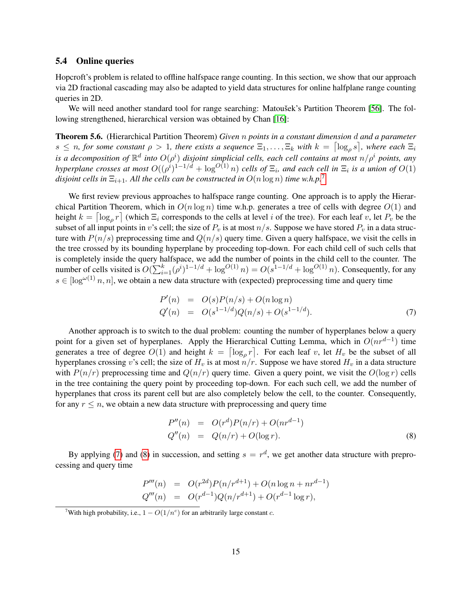#### 5.4 Online queries

Hopcroft's problem is related to offline halfspace range counting. In this section, we show that our approach via 2D fractional cascading may also be adapted to yield data structures for online halfplane range counting queries in 2D.

We will need another standard tool for range searching: Matoušek's Partition Theorem [\[56\]](#page-28-15). The following strengthened, hierarchical version was obtained by Chan [\[16\]](#page-25-7):

Theorem 5.6. (Hierarchical Partition Theorem) *Given* n *points in a constant dimension* d *and a parameter*  $s \leq n$ , for some constant  $\rho > 1$ , there exists a sequence  $\Xi_1, \ldots, \Xi_k$  with  $k = \lceil \log_\rho s \rceil$ , where each  $\Xi_i$ is a decomposition of  $\mathbb{R}^d$  into  $O(\rho^i)$  disjoint simplicial cells, each cell contains at most  $n/\rho^i$  points, any *hyperplane crosses at most*  $O((\rho^{i})^{1-1/d} + \log^{O(1)} n)$  *cells of*  $\Xi_i$ , and each cell in  $\Xi_i$  is a union of  $O(1)$ *disjoint cells in*  $\Xi_{i+1}$ *. All the cells can be constructed in*  $O(n \log n)$  *time* w.h.p.<sup>[7](#page-14-0)</sup>

We first review previous approaches to halfspace range counting. One approach is to apply the Hierarchical Partition Theorem, which in  $O(n \log n)$  time w.h.p. generates a tree of cells with degree  $O(1)$  and height  $k = \lceil \log_\rho r \rceil$  (which  $\Xi_i$  corresponds to the cells at level i of the tree). For each leaf v, let  $P_v$  be the subset of all input points in v's cell; the size of  $P_v$  is at most  $n/s$ . Suppose we have stored  $P_v$  in a data structure with  $P(n/s)$  preprocessing time and  $Q(n/s)$  query time. Given a query halfspace, we visit the cells in the tree crossed by its bounding hyperplane by proceeding top-down. For each child cell of such cells that is completely inside the query halfspace, we add the number of points in the child cell to the counter. The number of cells visited is  $O(\sum_{i=1}^{k} (\rho^{i})^{1-1/d} + \log^{O(1)} n) = O(s^{1-1/d} + \log^{O(1)} n)$ . Consequently, for any  $s \in [\log^{\omega(1)} n, n]$ , we obtain a new data structure with (expected) preprocessing time and query time

<span id="page-14-1"></span>
$$
P'(n) = O(s)P(n/s) + O(n \log n)
$$
  
\n
$$
Q'(n) = O(s^{1-1/d})Q(n/s) + O(s^{1-1/d}).
$$
\n(7)

Another approach is to switch to the dual problem: counting the number of hyperplanes below a query point for a given set of hyperplanes. Apply the Hierarchical Cutting Lemma, which in  $O(nr^{d-1})$  time generates a tree of degree  $O(1)$  and height  $k = \lceil \log_\rho r \rceil$ . For each leaf v, let  $H_v$  be the subset of all hyperplanes crossing v's cell; the size of  $H<sub>v</sub>$  is at most  $n/r$ . Suppose we have stored  $H<sub>v</sub>$  in a data structure with  $P(n/r)$  preprocessing time and  $Q(n/r)$  query time. Given a query point, we visit the  $O(\log r)$  cells in the tree containing the query point by proceeding top-down. For each such cell, we add the number of hyperplanes that cross its parent cell but are also completely below the cell, to the counter. Consequently, for any  $r \leq n$ , we obtain a new data structure with preprocessing and query time

<span id="page-14-2"></span>
$$
P''(n) = O(r^{d})P(n/r) + O(nr^{d-1})
$$
  
\n
$$
Q''(n) = Q(n/r) + O(\log r).
$$
\n(8)

By applying [\(7\)](#page-14-1) and [\(8\)](#page-14-2) in succession, and setting  $s = r<sup>d</sup>$ , we get another data structure with preprocessing and query time

$$
P'''(n) = O(r^{2d})P(n/r^{d+1}) + O(n \log n + nr^{d-1})
$$
  
\n
$$
Q'''(n) = O(r^{d-1})Q(n/r^{d+1}) + O(r^{d-1} \log r),
$$

<span id="page-14-0"></span><sup>&</sup>lt;sup>7</sup>With high probability, i.e.,  $1 - O(1/n^c)$  for an arbitrarily large constant *c*.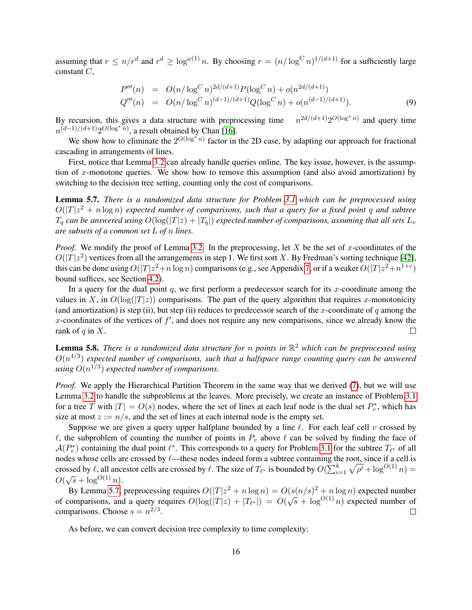assuming that  $r \le n/r^d$  and  $r^d \ge \log^{\omega(1)} n$ . By choosing  $r = (n/\log^C n)^{1/(d+1)}$  for a sufficiently large constant C,

<span id="page-15-1"></span>
$$
P'''(n) = O(n/\log^C n)^{2d/(d+1)} P(\log^C n) + o(n^{2d/(d+1)})
$$
  
\n
$$
Q'''(n) = O(n/\log^C n)^{(d-1)/(d+1)} Q(\log^C n) + o(n^{(d-1)/(d+1)}).
$$
\n(9)

By recursion, this gives a data structure with preprocessing time  $n^{2d/(d+1)}2^{O(\log^* n)}$  and query time  $n^{(d-1)/(d+1)}2^{O(\log^* n)}$ , a result obtained by Chan [\[16\]](#page-25-7).

We show how to eliminate the  $2^{O(\log^* n)}$  factor in the 2D case, by adapting our approach for fractional cascading in arrangements of lines.

First, notice that Lemma [3.2](#page-6-0) can already handle queries online. The key issue, however, is the assumption of x-monotone queries. We show how to remove this assumption (and also avoid amortization) by switching to the decision tree setting, counting only the cost of comparisons.

<span id="page-15-0"></span>Lemma 5.7. *There is a randomized data structure for Problem [3.1](#page-5-2) which can be preprocessed using*  $O(|T|z^2 + n \log n)$  expected number of comparisons, such that a query for a fixed point q and subtree  $T_a$  can be answered using  $O(\log(|T|z) + |T_a|)$  expected number of comparisons, assuming that all sets  $L_v$ *are subsets of a common set* L *of* n *lines.*

*Proof.* We modify the proof of Lemma [3.2.](#page-6-0) In the preprocessing, let X be the set of x-coordinates of the  $O(|T|z^2)$  vertices from all the arrangements in step 1. We first sort X. By Fredman's sorting technique [\[42\]](#page-27-5), this can be done using  $O(|T|z^2+n\log n)$  comparisons (e.g., see Appendix [7,](#page-21-0) or if a weaker  $O(|T|z^2+n^{1+\epsilon})$ bound suffices, see Section [4.2\)](#page-10-3).

In a query for the dual point q, we first perform a predecessor search for its x-coordinate among the values in X, in  $O(\log(|T|z))$  comparisons. The part of the query algorithm that requires x-monotonicity (and amortization) is step (ii), but step (ii) reduces to predecessor search of the x-coordinate of q among the x-coordinates of the vertices of  $f'$ , and does not require any new comparisons, since we already know the rank of  $q$  in  $X$ .  $\Box$ 

<span id="page-15-2"></span>Lemma 5.8. *There is a randomized data structure for* n *points in* R <sup>2</sup> *which can be preprocessed using*  $O(n^{4/3})$  expected number of comparisons, such that a halfspace range counting query can be answered using  $O(n^{1/3})$  expected number of comparisons.

*Proof.* We apply the Hierarchical Partition Theorem in the same way that we derived [\(7\)](#page-14-1), but we will use Lemma [3.2](#page-6-0) to handle the subproblems at the leaves. More precisely, we create an instance of Problem [3.1](#page-5-2) for a tree T with  $|T| = O(s)$  nodes, where the set of lines at each leaf node is the dual set  $P_v^*$ , which has size at most  $z := n/s$ , and the set of lines at each internal node is the empty set.

Suppose we are given a query upper halfplane bounded by a line  $\ell$ . For each leaf cell v crossed by  $\ell$ , the subproblem of counting the number of points in  $P_v$  above  $\ell$  can be solved by finding the face of  $\mathcal{A}(P_v^*)$  containing the dual point  $\ell^*$ . This corresponds to a query for Problem [3.1](#page-5-2) for the subtree  $T_{\ell^*}$  of all nodes whose cells are crossed by  $\ell$ —these nodes indeed form a subtree containing the root, since if a cell is crossed by  $\ell$ , all ancestor cells are crossed by  $\ell$ . The size of  $T_{\ell^*}$  is bounded by  $O(\sum_{i=1}^k \sqrt{\rho^i} + \log^{O(1)} n) =$  $O(\sqrt{s} + \log^{O(1)} n).$ 

By Lemma [5.7,](#page-15-0) preprocessing requires  $O(|T|z^2 + n \log n) = O(s(n/s)^2 + n \log n)$  expected number by Lemma 5.7, preprocessing requires  $O(|Y|z + n \log n) = O(s(n/s) + n \log n)$  expected number<br>of comparisons, and a query requires  $O(\log(|T|z) + |T_{\ell^*}|) = O(\sqrt{s} + \log^{O(1)} n)$  expected number of comparisons. Choose  $s = n^{2/3}$ .  $\Box$ 

As before, we can convert decision tree complexity to time complexity: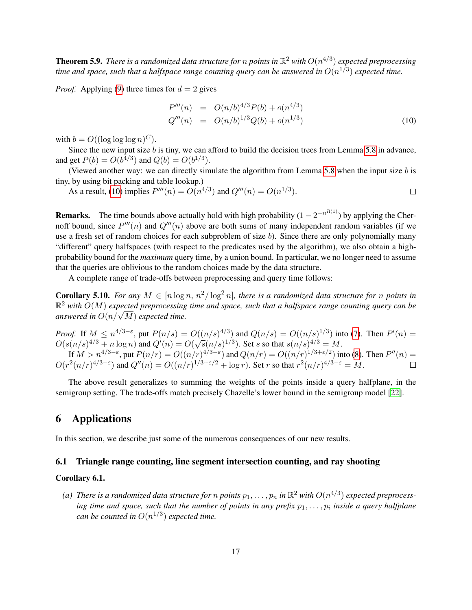<span id="page-16-2"></span>**Theorem 5.9.** There is a randomized data structure for  $n$  points in  $\mathbb{R}^2$  with  $O(n^{4/3})$  expected preprocessing time and space, such that a halfspace range counting query can be answered in  $O(n^{1/3})$  expected time.

*Proof.* Applying [\(9\)](#page-15-1) three times for  $d = 2$  gives

<span id="page-16-1"></span>
$$
P'''(n) = O(n/b)^{4/3} P(b) + o(n^{4/3})
$$
  
\n
$$
Q'''(n) = O(n/b)^{1/3} Q(b) + o(n^{1/3})
$$
\n(10)

with  $b = O((\log \log \log n)^C)$ .

Since the new input size b is tiny, we can afford to build the decision trees from Lemma [5.8](#page-15-2) in advance, and get  $P(b) = O(b^{4/3})$  and  $Q(b) = O(b^{1/3})$ .

(Viewed another way: we can directly simulate the algorithm from Lemma [5.8](#page-15-2) when the input size  $b$  is tiny, by using bit packing and table lookup.)

As a result, [\(10\)](#page-16-1) implies  $P'''(n) = O(n^{4/3})$  and  $Q'''(n) = O(n^{1/3})$ .  $\Box$ 

**Remarks.** The time bounds above actually hold with high probability  $(1 - 2^{-n^{\Omega(1)}})$  by applying the Chernoff bound, since  $P'''(n)$  and  $Q'''(n)$  above are both sums of many independent random variables (if we use a fresh set of random choices for each subproblem of size b). Since there are only polynomially many "different" query halfspaces (with respect to the predicates used by the algorithm), we also obtain a highprobability bound for the *maximum* query time, by a union bound. In particular, we no longer need to assume that the queries are oblivious to the random choices made by the data structure.

A complete range of trade-offs between preprocessing and query time follows:

<span id="page-16-3"></span>**Corollary 5.10.** *For any*  $M \in [n \log n, n^2/\log^2 n]$ , *there is a randomized data structure for n points in*  $\mathbb{R}^2$  with  $O(M)$  expected preprocessing time and space, such that a halfspace range counting query can be *answered in* <sup>O</sup>(n/<sup>√</sup> M) *expected time.*

*Proof.* If  $M \le n^{4/3-\epsilon}$ , put  $P(n/s) = O((n/s)^{4/3})$  and  $Q(n/s) = O((n/s)^{1/3})$  into [\(7\)](#page-14-1). Then  $P'(n) =$ *O(s(n/s)*<sup>4/3</sup> + n log n) and  $Q'(n) = O(\sqrt{s}(n/s)^{1/3})$ . Set s so that  $s(n/s)^{4/3} = M$ . If  $M > n^{4/3-\epsilon}$ , put  $P(n/r) = O((n/r)^{4/3-\epsilon})$  and  $Q(n/r) = O((n/r)^{1/3+\epsilon/2})$  into [\(8\)](#page-14-2). Then  $P''(n) =$  $O(r^2(n/r)^{4/3-\epsilon})$  and  $Q''(n) = O((n/r)^{1/3+\epsilon/2} + \log r)$ . Set r so that  $r^2(n/r)^{4/3-\epsilon} = M$ .

The above result generalizes to summing the weights of the points inside a query halfplane, in the semigroup setting. The trade-offs match precisely Chazelle's lower bound in the semigroup model [\[22\]](#page-26-3).

# <span id="page-16-0"></span>6 Applications

In this section, we describe just some of the numerous consequences of our new results.

### 6.1 Triangle range counting, line segment intersection counting, and ray shooting

#### <span id="page-16-4"></span>Corollary 6.1.

(a) There is a randomized data structure for  $n$  points  $p_1,\ldots,p_n$  in  $\mathbb{R}^2$  with  $O(n^{4/3})$  expected preprocessing time and space, such that the number of points in any prefix  $p_1, \ldots, p_i$  inside a query halfplane *can be counted in*  $O(n^{1/3})$  *expected time.*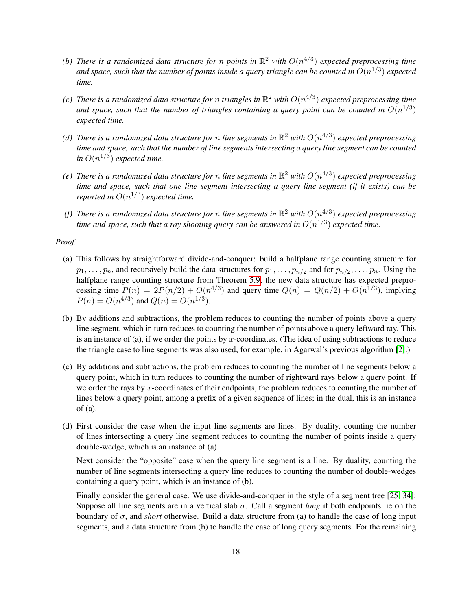- (b) There is a randomized data structure for n points in  $\mathbb{R}^2$  with  $O(n^{4/3})$  expected preprocessing time and space, such that the number of points inside a query triangle can be counted in  $O(n^{1/3})$  expected *time.*
- (c) There is a randomized data structure for n triangles in  $\mathbb{R}^2$  with  $O(n^{4/3})$  expected preprocessing time and space, such that the number of triangles containing a query point can be counted in  $O(n^{1/3})$ *expected time.*
- (d) There is a randomized data structure for  $n$  line segments in  $\mathbb{R}^2$  with  $O(n^{4/3})$  expected preprocessing *time and space, such that the number of line segments intersecting a query line segment can be counted* in  $O(n^{1/3})$  expected time.
- (e) There is a randomized data structure for n line segments in  $\mathbb{R}^2$  with  $O(n^{4/3})$  expected preprocessing *time and space, such that one line segment intersecting a query line segment (if it exists) can be reported in*  $O(n^{1/3})$  *expected time.*
- (f) There is a randomized data structure for  $n$  line segments in  $\mathbb{R}^2$  with  $O(n^{4/3})$  expected preprocessing time and space, such that a ray shooting query can be answered in  $O(n^{1/3})$  expected time.

#### *Proof.*

- (a) This follows by straightforward divide-and-conquer: build a halfplane range counting structure for  $p_1, \ldots, p_n$ , and recursively build the data structures for  $p_1, \ldots, p_{n/2}$  and for  $p_{n/2}, \ldots, p_n$ . Using the halfplane range counting structure from Theorem [5.9,](#page-16-2) the new data structure has expected preprocessing time  $P(n) = 2P(n/2) + O(n^{4/3})$  and query time  $Q(n) = Q(n/2) + O(n^{1/3})$ , implying  $P(n) = O(n^{4/3})$  and  $Q(n) = O(n^{1/3})$ .
- (b) By additions and subtractions, the problem reduces to counting the number of points above a query line segment, which in turn reduces to counting the number of points above a query leftward ray. This is an instance of (a), if we order the points by x-coordinates. (The idea of using subtractions to reduce the triangle case to line segments was also used, for example, in Agarwal's previous algorithm [\[2\]](#page-25-1).)
- (c) By additions and subtractions, the problem reduces to counting the number of line segments below a query point, which in turn reduces to counting the number of rightward rays below a query point. If we order the rays by x-coordinates of their endpoints, the problem reduces to counting the number of lines below a query point, among a prefix of a given sequence of lines; in the dual, this is an instance  $of (a)$ .
- (d) First consider the case when the input line segments are lines. By duality, counting the number of lines intersecting a query line segment reduces to counting the number of points inside a query double-wedge, which is an instance of (a).

Next consider the "opposite" case when the query line segment is a line. By duality, counting the number of line segments intersecting a query line reduces to counting the number of double-wedges containing a query point, which is an instance of (b).

Finally consider the general case. We use divide-and-conquer in the style of a segment tree [\[25,](#page-26-16) [34\]](#page-26-2): Suppose all line segments are in a vertical slab σ. Call a segment *long* if both endpoints lie on the boundary of σ, and *short* otherwise. Build a data structure from (a) to handle the case of long input segments, and a data structure from (b) to handle the case of long query segments. For the remaining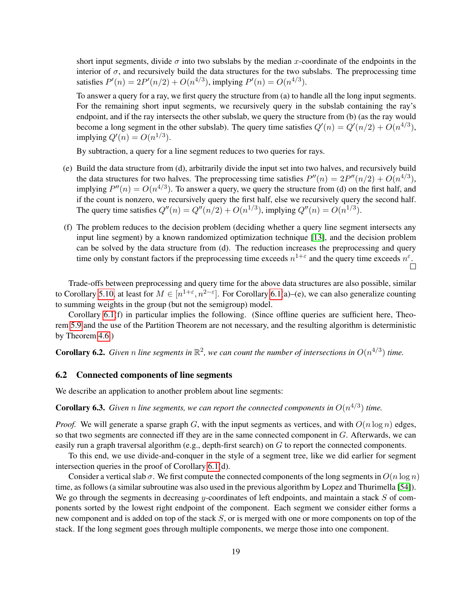short input segments, divide  $\sigma$  into two subslabs by the median x-coordinate of the endpoints in the interior of  $\sigma$ , and recursively build the data structures for the two subslabs. The preprocessing time satisfies  $P'(n) = 2P'(n/2) + O(n^{4/3})$ , implying  $P'(n) = O(n^{4/3})$ .

To answer a query for a ray, we first query the structure from (a) to handle all the long input segments. For the remaining short input segments, we recursively query in the subslab containing the ray's endpoint, and if the ray intersects the other subslab, we query the structure from (b) (as the ray would become a long segment in the other subslab). The query time satisfies  $Q'(n) = Q'(n/2) + O(n^{4/3})$ , implying  $Q'(n) = O(n^{1/3})$ .

By subtraction, a query for a line segment reduces to two queries for rays.

- (e) Build the data structure from (d), arbitrarily divide the input set into two halves, and recursively build the data structures for two halves. The preprocessing time satisfies  $P''(n) = 2P''(n/2) + O(n^{4/3})$ , implying  $P''(n) = O(n^{4/3})$ . To answer a query, we query the structure from (d) on the first half, and if the count is nonzero, we recursively query the first half, else we recursively query the second half. The query time satisfies  $Q''(n) = Q''(n/2) + O(n^{1/3})$ , implying  $Q''(n) = O(n^{1/3})$ .
- (f) The problem reduces to the decision problem (deciding whether a query line segment intersects any input line segment) by a known randomized optimization technique [\[13\]](#page-25-13), and the decision problem can be solved by the data structure from (d). The reduction increases the preprocessing and query time only by constant factors if the preprocessing time exceeds  $n^{1+\epsilon}$  and the query time exceeds  $n^{\epsilon}$ .

Trade-offs between preprocessing and query time for the above data structures are also possible, similar to Corollary [5.10,](#page-16-3) at least for  $M \in [n^{1+\epsilon}, n^{2-\epsilon}]$ . For Corollary [6.1\(](#page-16-4)a)–(e), we can also generalize counting to summing weights in the group (but not the semigroup) model.

Corollary [6.1\(](#page-16-4)f) in particular implies the following. (Since offline queries are sufficient here, Theorem [5.9](#page-16-2) and the use of the Partition Theorem are not necessary, and the resulting algorithm is deterministic by Theorem [4.6.](#page-11-3))

**Corollary 6.2.** Given n line segments in  $\mathbb{R}^2$ , we can count the number of intersections in  $O(n^{4/3})$  time.

#### 6.2 Connected components of line segments

We describe an application to another problem about line segments:

**Corollary 6.3.** Given n line segments, we can report the connected components in  $O(n^{4/3})$  time.

*Proof.* We will generate a sparse graph G, with the input segments as vertices, and with  $O(n \log n)$  edges, so that two segments are connected iff they are in the same connected component in  $G$ . Afterwards, we can easily run a graph traversal algorithm (e.g., depth-first search) on G to report the connected components.

To this end, we use divide-and-conquer in the style of a segment tree, like we did earlier for segment intersection queries in the proof of Corollary [6.1\(](#page-16-4)d).

Consider a vertical slab  $\sigma$ . We first compute the connected components of the long segments in  $O(n \log n)$ time, as follows (a similar subroutine was also used in the previous algorithm by Lopez and Thurimella [\[54\]](#page-28-6)). We go through the segments in decreasing  $y$ -coordinates of left endpoints, and maintain a stack  $S$  of components sorted by the lowest right endpoint of the component. Each segment we consider either forms a new component and is added on top of the stack S, or is merged with one or more components on top of the stack. If the long segment goes through multiple components, we merge those into one component.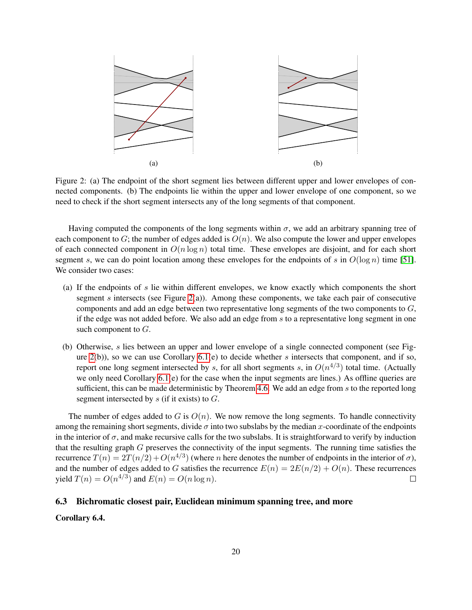<span id="page-19-0"></span>

Figure 2: (a) The endpoint of the short segment lies between different upper and lower envelopes of connected components. (b) The endpoints lie within the upper and lower envelope of one component, so we need to check if the short segment intersects any of the long segments of that component.

Having computed the components of the long segments within  $\sigma$ , we add an arbitrary spanning tree of each component to G; the number of edges added is  $O(n)$ . We also compute the lower and upper envelopes of each connected component in  $O(n \log n)$  total time. These envelopes are disjoint, and for each short segment s, we can do point location among these envelopes for the endpoints of s in  $O(\log n)$  time [\[51\]](#page-27-8). We consider two cases:

- (a) If the endpoints of s lie within different envelopes, we know exactly which components the short segment  $s$  intersects (see Figure [2\(](#page-19-0)a)). Among these components, we take each pair of consecutive components and add an edge between two representative long segments of the two components to G, if the edge was not added before. We also add an edge from s to a representative long segment in one such component to G.
- (b) Otherwise, s lies between an upper and lower envelope of a single connected component (see Figure  $2(b)$ ), so we can use Corollary  $6.1(e)$  to decide whether s intersects that component, and if so, report one long segment intersected by s, for all short segments s, in  $O(n^{4/3})$  total time. (Actually we only need Corollary [6.1\(](#page-16-4)e) for the case when the input segments are lines.) As offline queries are sufficient, this can be made deterministic by Theorem [4.6.](#page-11-3) We add an edge from  $s$  to the reported long segment intersected by  $s$  (if it exists) to  $G$ .

The number of edges added to G is  $O(n)$ . We now remove the long segments. To handle connectivity among the remaining short segments, divide  $\sigma$  into two subslabs by the median x-coordinate of the endpoints in the interior of  $\sigma$ , and make recursive calls for the two subslabs. It is straightforward to verify by induction that the resulting graph  $G$  preserves the connectivity of the input segments. The running time satisfies the recurrence  $T(n) = 2T(n/2) + O(n^{4/3})$  (where n here denotes the number of endpoints in the interior of  $\sigma$ ), and the number of edges added to G satisfies the recurrence  $E(n) = 2E(n/2) + O(n)$ . These recurrences yield  $T(n) = O(n^{4/3})$  and  $E(n) = O(n \log n)$ .  $\Box$ 

#### 6.3 Bichromatic closest pair, Euclidean minimum spanning tree, and more

Corollary 6.4.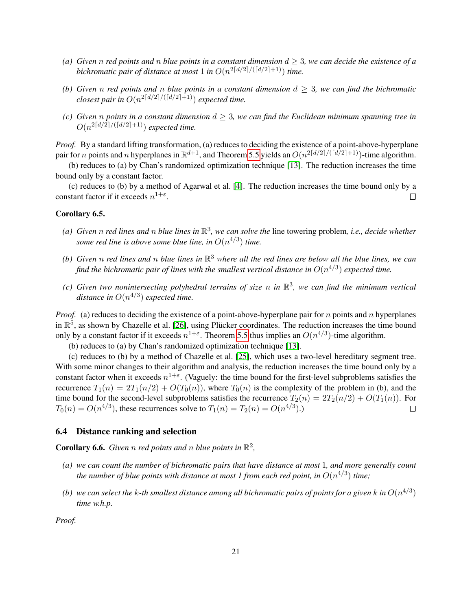- *(a) Given n red points and n blue* points in a constant dimension  $d \geq 3$ *, we can decide the existence of a* bichromatic pair of distance at most 1 in  $O(n^{2\lceil d/2\rceil / (\lceil d/2 \rceil + 1)})$  time.
- *(b)* Given n red points and n blue points in a constant dimension  $d \geq 3$ , we can find the bichromatic *closest pair in*  $O(n^{2\lceil d/2\rceil / (\lceil d/2\rceil +1)})$  *expected time.*
- *(c) Given n points in a constant dimension*  $d \geq 3$ *, we can find the Euclidean minimum spanning tree in*  $O(n^{2\lceil d/2\rceil / (\lceil d/2\rceil +1)})$  *expected time.*

*Proof.* By a standard lifting transformation, (a) reduces to deciding the existence of a point-above-hyperplane pair for *n* points and *n* hyperplanes in  $\mathbb{R}^{d+1}$ , and Theorem [5.5](#page-13-1) yields an  $O(n^{2\lceil d/2 \rceil / (\lceil d/2 \rceil + 1)})$ -time algorithm.

(b) reduces to (a) by Chan's randomized optimization technique [\[13\]](#page-25-13). The reduction increases the time bound only by a constant factor.

(c) reduces to (b) by a method of Agarwal et al. [\[4\]](#page-25-0). The reduction increases the time bound only by a constant factor if it exceeds  $n^{1+\epsilon}$ .  $\Box$ 

#### Corollary 6.5.

- (a) Given  $n$  red lines and  $n$  blue lines in  $\mathbb{R}^3$ , we can solve the line towering problem, i.e., decide whether *some red line is above some blue line, in*  $O(n^{4/3})$  *time.*
- (b) Given  $n$  red lines and  $n$  blue lines in  $\mathbb{R}^3$  where all the red lines are below all the blue lines, we can find the bichromatic pair of lines with the smallest vertical distance in  $O(n^{4/3})$  expected time.
- (c) Given two nonintersecting polyhedral terrains of size n in  $\mathbb{R}^3$ , we can find the minimum vertical distance in  $O(n^{4/3})$  expected time.

*Proof.* (a) reduces to deciding the existence of a point-above-hyperplane pair for n points and n hyperplanes in  $\mathbb{R}^5$ , as shown by Chazelle et al. [\[26\]](#page-26-10), using Plücker coordinates. The reduction increases the time bound only by a constant factor if it exceeds  $n^{1+\epsilon}$ . Theorem [5.5](#page-13-1) thus implies an  $O(n^{4/3})$ -time algorithm.

(b) reduces to (a) by Chan's randomized optimization technique [\[13\]](#page-25-13).

(c) reduces to (b) by a method of Chazelle et al. [\[25\]](#page-26-16), which uses a two-level hereditary segment tree. With some minor changes to their algorithm and analysis, the reduction increases the time bound only by a constant factor when it exceeds  $n^{1+\epsilon}$ . (Vaguely: the time bound for the first-level subproblems satisfies the recurrence  $T_1(n) = 2T_1(n/2) + O(T_0(n))$ , where  $T_0(n)$  is the complexity of the problem in (b), and the time bound for the second-level subproblems satisfies the recurrence  $T_2(n) = 2T_2(n/2) + O(T_1(n))$ . For  $T_0(n) = O(n^{4/3})$ , these recurrences solve to  $T_1(n) = T_2(n) = O(n^{4/3})$ .)  $\Box$ 

#### 6.4 Distance ranking and selection

**Corollary 6.6.** Given n red points and n blue points in  $\mathbb{R}^2$ ,

- *(a) we can count the number of bichromatic pairs that have distance at most* 1*, and more generally count* the number of blue points with distance at most 1 from each red point, in  $O(n^{4/3})$  time;
- (b) we can select the k-th smallest distance among all bichromatic pairs of points for a given  $k$  in  $O(n^{4/3})$ *time w.h.p.*

*Proof.*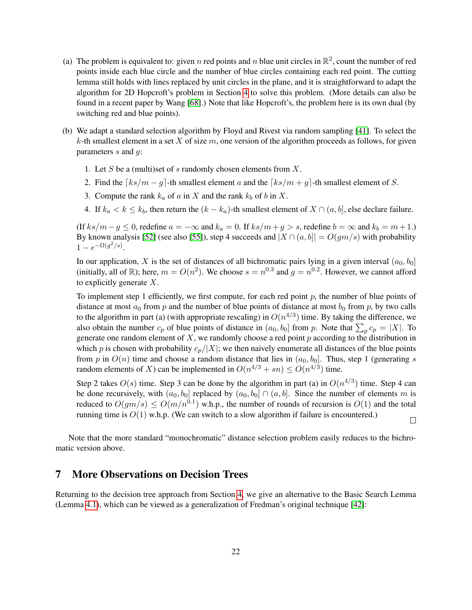- (a) The problem is equivalent to: given n red points and n blue unit circles in  $\mathbb{R}^2$ , count the number of red points inside each blue circle and the number of blue circles containing each red point. The cutting lemma still holds with lines replaced by unit circles in the plane, and it is straightforward to adapt the algorithm for 2D Hopcroft's problem in Section [4](#page-8-0) to solve this problem. (More details can also be found in a recent paper by Wang [\[68\]](#page-28-8).) Note that like Hopcroft's, the problem here is its own dual (by switching red and blue points).
- (b) We adapt a standard selection algorithm by Floyd and Rivest via random sampling [\[41\]](#page-27-12). To select the k-th smallest element in a set X of size  $m$ , one version of the algorithm proceeds as follows, for given parameters  $s$  and  $g$ :
	- 1. Let S be a (multi)set of s randomly chosen elements from  $X$ .
	- 2. Find the  $\lceil ks/m q \rceil$ -th smallest element a and the  $\lceil ks/m + q \rceil$ -th smallest element of S.
	- 3. Compute the rank  $k_a$  of a in X and the rank  $k_b$  of b in X.
	- 4. If  $k_a < k \leq k_b$ , then return the  $(k k_a)$ -th smallest element of  $X \cap (a, b]$ , else declare failure.

(If  $ks/m-g \le 0$ , redefine  $a = -\infty$  and  $k_a = 0$ . If  $ks/m + g > s$ , redefine  $b = \infty$  and  $k_b = m + 1$ .) By known analysis [\[52\]](#page-27-13) (see also [\[55\]](#page-28-7)), step 4 succeeds and  $|X \cap (a, b]| = O(gm/s)$  with probability  $1 - e^{-\Omega(g^2/s)}$ .

In our application, X is the set of distances of all bichromatic pairs lying in a given interval  $(a_0, b_0]$ (initially, all of R); here,  $m = O(n^2)$ . We choose  $s = n^{0.3}$  and  $g = n^{0.2}$ . However, we cannot afford to explicitly generate  $X$ .

To implement step 1 efficiently, we first compute, for each red point  $p$ , the number of blue points of distance at most  $a_0$  from p and the number of blue points of distance at most  $b_0$  from p, by two calls to the algorithm in part (a) (with appropriate rescaling) in  $O(n^{4/3})$  time. By taking the difference, we also obtain the number  $c_p$  of blue points of distance in  $(a_0, b_0]$  from p. Note that  $\sum_p c_p = |X|$ . To generate one random element of  $X$ , we randomly choose a red point  $p$  according to the distribution in which p is chosen with probability  $c_p/|X|$ ; we then naively enumerate all distances of the blue points from p in  $O(n)$  time and choose a random distance that lies in  $(a_0, b_0]$ . Thus, step 1 (generating s random elements of X) can be implemented in  $O(n^{4/3} + sn) \le O(n^{4/3})$  time.

Step 2 takes  $O(s)$  time. Step 3 can be done by the algorithm in part (a) in  $O(n^{4/3})$  time. Step 4 can be done recursively, with  $(a_0, b_0]$  replaced by  $(a_0, b_0] \cap (a, b]$ . Since the number of elements m is reduced to  $O(gm/s) \leq O(m/n^{0.1})$  w.h.p., the number of rounds of recursion is  $O(1)$  and the total running time is  $O(1)$  w.h.p. (We can switch to a slow algorithm if failure is encountered.)

 $\Box$ 

Note that the more standard "monochromatic" distance selection problem easily reduces to the bichromatic version above.

### <span id="page-21-0"></span>7 More Observations on Decision Trees

Returning to the decision tree approach from Section [4,](#page-8-0) we give an alternative to the Basic Search Lemma (Lemma [4.1\)](#page-9-0), which can be viewed as a generalization of Fredman's original technique [\[42\]](#page-27-5):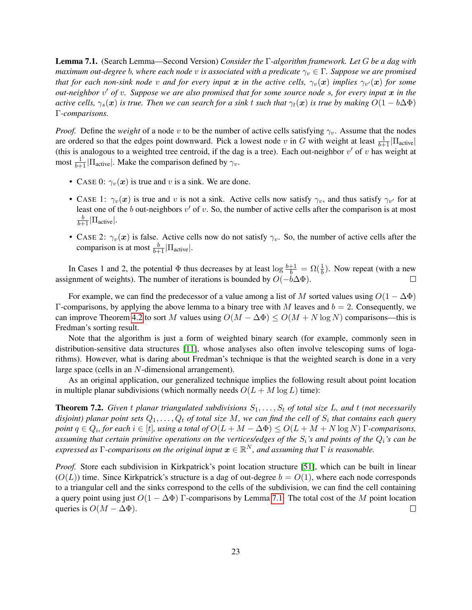<span id="page-22-0"></span>Lemma 7.1. (Search Lemma—Second Version) *Consider the* Γ*-algorithm framework. Let* G *be a dag with maximum out-degree b, where each node v is associated with a predicate*  $\gamma_v \in \Gamma$ *. Suppose we are promised that for each non-sink node*  $v$  *and for every input*  $x$  *in the active cells,*  $\gamma_v(\bm{x})$  *implies*  $\gamma_{v'}(\bm{x})$  *for some out-neighbor* v <sup>0</sup> *of* v*. Suppose we are also promised that for some source node* s*, for every input* x *in the active cells,*  $\gamma_s(x)$  *is true. Then we can search for a sink t such that*  $\gamma_t(x)$  *is true by making*  $O(1 - b\Delta\Phi)$ Γ*-comparisons.*

*Proof.* Define the *weight* of a node v to be the number of active cells satisfying  $\gamma_v$ . Assume that the nodes are ordered so that the edges point downward. Pick a lowest node v in G with weight at least  $\frac{1}{b+1}|\Pi_{\text{active}}|$ (this is analogous to a weighted tree centroid, if the dag is a tree). Each out-neighbor  $v'$  of v has weight at most  $\frac{1}{b+1}$  |  $\Pi$ <sub>active</sub> | Make the comparison defined by  $\gamma_v$ .

- CASE 0:  $\gamma_v(x)$  is true and v is a sink. We are done.
- CASE 1:  $\gamma_v(x)$  is true and v is not a sink. Active cells now satisfy  $\gamma_v$ , and thus satisfy  $\gamma_{v'}$  for at least one of the b out-neighbors  $v'$  of v. So, the number of active cells after the comparison is at most  $\frac{b}{b+1}|\Pi_{\text{active}}|.$
- CASE 2:  $\gamma_v(x)$  is false. Active cells now do not satisfy  $\gamma_v$ . So, the number of active cells after the comparison is at most  $\frac{b}{b+1}|\Pi_{\text{active}}|$ .

In Cases 1 and 2, the potential  $\Phi$  thus decreases by at least  $\log \frac{b+1}{b} = \Omega(\frac{1}{b})$ . Now repeat (with a new assignment of weights). The number of iterations is bounded by  $O(-b\Delta\Phi)$ .  $\Box$ 

For example, we can find the predecessor of a value among a list of M sorted values using  $O(1 - \Delta \Phi)$ Γ-comparisons, by applying the above lemma to a binary tree with M leaves and  $b = 2$ . Consequently, we can improve Theorem [4.2](#page-10-0) to sort M values using  $O(M - \Delta \Phi) \leq O(M + N \log N)$  comparisons—this is Fredman's sorting result.

Note that the algorithm is just a form of weighted binary search (for example, commonly seen in distribution-sensitive data structures [\[11\]](#page-25-14), whose analyses also often involve telescoping sums of logarithms). However, what is daring about Fredman's technique is that the weighted search is done in a very large space (cells in an N-dimensional arrangement).

As an original application, our generalized technique implies the following result about point location in multiple planar subdivisions (which normally needs  $O(L + M \log L)$  time):

**Theorem 7.2.** Given t planar triangulated subdivisions  $S_1, \ldots, S_t$  of total size L, and t (not necessarily disjoint) planar point sets  $Q_1, \ldots, Q_t$  of total size  $M$ , we can find the cell of  $S_i$  that contains each query *point*  $q \in Q_i$ , for each  $i \in [t]$ , using a total of  $O(L + M - \Delta \Phi) \leq O(L + M + N \log N)$   $\Gamma$ -comparisons, *assuming that certain primitive operations on the vertices/edges of the* Si*'s and points of the* Qi*'s can be*  $\epsilon$ xpressed as  $\Gamma$ -comparisons on the original input  $\bm{x}\in\mathbb{R}^N$ , and assuming that  $\Gamma$  is reasonable.

*Proof.* Store each subdivision in Kirkpatrick's point location structure [\[51\]](#page-27-8), which can be built in linear  $(O(L))$  time. Since Kirkpatrick's structure is a dag of out-degree  $b = O(1)$ , where each node corresponds to a triangular cell and the sinks correspond to the cells of the subdivision, we can find the cell containing a query point using just  $O(1 - \Delta \Phi)$  Γ-comparisons by Lemma [7.1.](#page-22-0) The total cost of the M point location queries is  $O(M - \Delta \Phi)$ .  $\Box$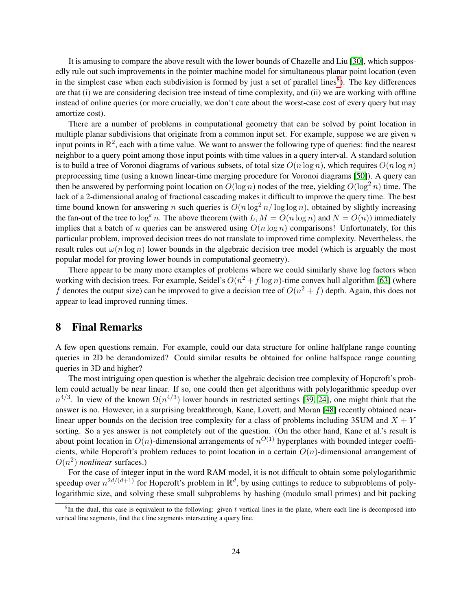It is amusing to compare the above result with the lower bounds of Chazelle and Liu [\[30\]](#page-26-8), which supposedly rule out such improvements in the pointer machine model for simultaneous planar point location (even in the simplest case when each subdivision is formed by just a set of parallel lines<sup>[8](#page-23-0)</sup>). The key differences are that (i) we are considering decision tree instead of time complexity, and (ii) we are working with offline instead of online queries (or more crucially, we don't care about the worst-case cost of every query but may amortize cost).

There are a number of problems in computational geometry that can be solved by point location in multiple planar subdivisions that originate from a common input set. For example, suppose we are given  $n$ input points in  $\mathbb{R}^2$ , each with a time value. We want to answer the following type of queries: find the nearest neighbor to a query point among those input points with time values in a query interval. A standard solution is to build a tree of Voronoi diagrams of various subsets, of total size  $O(n \log n)$ , which requires  $O(n \log n)$ preprocessing time (using a known linear-time merging procedure for Voronoi diagrams [\[50\]](#page-27-14)). A query can then be answered by performing point location on  $O(\log n)$  nodes of the tree, yielding  $O(\log^2 n)$  time. The lack of a 2-dimensional analog of fractional cascading makes it difficult to improve the query time. The best time bound known for answering n such queries is  $O(n \log^2 n / \log \log n)$ , obtained by slightly increasing the fan-out of the tree to  $\log^{\epsilon} n$ . The above theorem (with L,  $M = O(n \log n)$  and  $N = O(n)$ ) immediately implies that a batch of n queries can be answered using  $O(n \log n)$  comparisons! Unfortunately, for this particular problem, improved decision trees do not translate to improved time complexity. Nevertheless, the result rules out  $\omega(n \log n)$  lower bounds in the algebraic decision tree model (which is arguably the most popular model for proving lower bounds in computational geometry).

There appear to be many more examples of problems where we could similarly shave log factors when working with decision trees. For example, Seidel's  $O(n^2 + f \log n)$ -time convex hull algorithm [\[63\]](#page-28-16) (where f denotes the output size) can be improved to give a decision tree of  $O(n^2 + f)$  depth. Again, this does not appear to lead improved running times.

# 8 Final Remarks

A few open questions remain. For example, could our data structure for online halfplane range counting queries in 2D be derandomized? Could similar results be obtained for online halfspace range counting queries in 3D and higher?

The most intriguing open question is whether the algebraic decision tree complexity of Hopcroft's problem could actually be near linear. If so, one could then get algorithms with polylogarithmic speedup over  $n^{4/3}$ . In view of the known  $\Omega(n^{4/3})$  lower bounds in restricted settings [\[39,](#page-27-1) [24\]](#page-26-4), one might think that the answer is no. However, in a surprising breakthrough, Kane, Lovett, and Moran [\[48\]](#page-27-6) recently obtained nearlinear upper bounds on the decision tree complexity for a class of problems including 3SUM and  $X + Y$ sorting. So a yes answer is not completely out of the question. (On the other hand, Kane et al.'s result is about point location in  $O(n)$ -dimensional arrangements of  $n^{O(1)}$  hyperplanes with bounded integer coefficients, while Hopcroft's problem reduces to point location in a certain  $O(n)$ -dimensional arrangement of  $O(n^2)$  *nonlinear* surfaces.)

For the case of integer input in the word RAM model, it is not difficult to obtain some polylogarithmic speedup over  $n^{2d/(d+1)}$  for Hopcroft's problem in  $\mathbb{R}^d$ , by using cuttings to reduce to subproblems of polylogarithmic size, and solving these small subproblems by hashing (modulo small primes) and bit packing

<span id="page-23-0"></span> ${}^8$ In the dual, this case is equivalent to the following: given t vertical lines in the plane, where each line is decomposed into vertical line segments, find the t line segments intersecting a query line.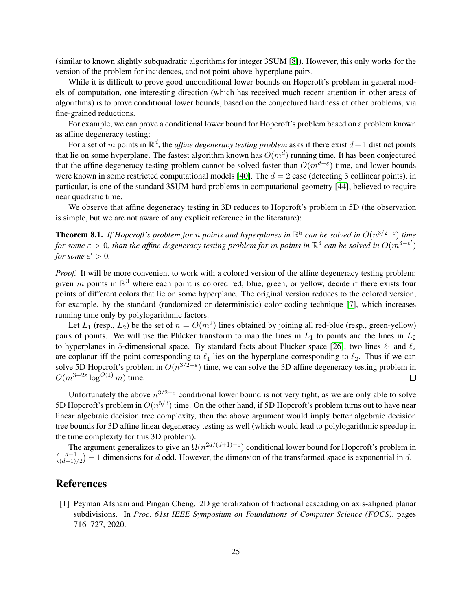(similar to known slightly subquadratic algorithms for integer 3SUM [\[8\]](#page-25-15)). However, this only works for the version of the problem for incidences, and not point-above-hyperplane pairs.

While it is difficult to prove good unconditional lower bounds on Hopcroft's problem in general models of computation, one interesting direction (which has received much recent attention in other areas of algorithms) is to prove conditional lower bounds, based on the conjectured hardness of other problems, via fine-grained reductions.

For example, we can prove a conditional lower bound for Hopcroft's problem based on a problem known as affine degeneracy testing:

For a set of m points in  $\mathbb{R}^d$ , the *affine degeneracy testing problem* asks if there exist  $d+1$  distinct points that lie on some hyperplane. The fastest algorithm known has  $O(m^d)$  running time. It has been conjectured that the affine degeneracy testing problem cannot be solved faster than  $O(m^{d-\epsilon})$  time, and lower bounds were known in some restricted computational models [\[40\]](#page-27-15). The  $d = 2$  case (detecting 3 collinear points), in particular, is one of the standard 3SUM-hard problems in computational geometry [\[44\]](#page-27-16), believed to require near quadratic time.

We observe that affine degeneracy testing in 3D reduces to Hopcroft's problem in 5D (the observation is simple, but we are not aware of any explicit reference in the literature):

**Theorem 8.1.** If Hopcroft's problem for n points and hyperplanes in  $\mathbb{R}^5$  can be solved in  $O(n^{3/2-\varepsilon})$  time *for some*  $\varepsilon > 0$ , than the affine degeneracy testing problem for m points in  $\mathbb{R}^3$  can be solved in  $O(m^{3-\varepsilon'})$ *for some*  $\varepsilon' > 0$ *.* 

*Proof.* It will be more convenient to work with a colored version of the affine degeneracy testing problem: given m points in  $\mathbb{R}^3$  where each point is colored red, blue, green, or yellow, decide if there exists four points of different colors that lie on some hyperplane. The original version reduces to the colored version, for example, by the standard (randomized or deterministic) color-coding technique [\[7\]](#page-25-16), which increases running time only by polylogarithmic factors.

Let  $L_1$  (resp.,  $L_2$ ) be the set of  $n = O(m^2)$  lines obtained by joining all red-blue (resp., green-yellow) pairs of points. We will use the Plücker transform to map the lines in  $L_1$  to points and the lines in  $L_2$ to hyperplanes in 5-dimensional space. By standard facts about Plucker space [\[26\]](#page-26-10), two lines  $\ell_1$  and  $\ell_2$ are coplanar iff the point corresponding to  $\ell_1$  lies on the hyperplane corresponding to  $\ell_2$ . Thus if we can solve 5D Hopcroft's problem in  $O(n^{3/2-\epsilon})$  time, we can solve the 3D affine degeneracy testing problem in  $O(m^{3-2\varepsilon} \log^{O(1)} m)$  time.  $\Box$ 

Unfortunately the above  $n^{3/2-\epsilon}$  conditional lower bound is not very tight, as we are only able to solve 5D Hopcroft's problem in  $O(n^{5/3})$  time. On the other hand, if 5D Hopcroft's problem turns out to have near linear algebraic decision tree complexity, then the above argument would imply better algebraic decision tree bounds for 3D affine linear degeneracy testing as well (which would lead to polylogarithmic speedup in the time complexity for this 3D problem).

The argument generalizes to give an  $\Omega(n^{2d/(d+1)-\varepsilon})$  conditional lower bound for Hopcroft's problem in  $\binom{d+1}{d+1}$  $\binom{d+1}{(d+1)/2} - 1$  dimensions for d odd. However, the dimension of the transformed space is exponential in d.

### References

<span id="page-24-0"></span>[1] Peyman Afshani and Pingan Cheng. 2D generalization of fractional cascading on axis-aligned planar subdivisions. In *Proc. 61st IEEE Symposium on Foundations of Computer Science (FOCS)*, pages 716–727, 2020.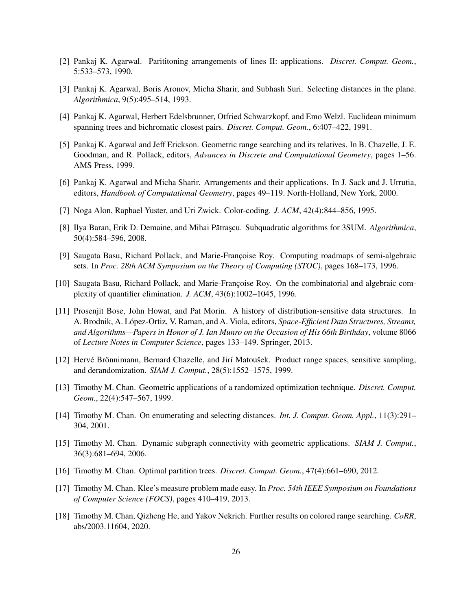- <span id="page-25-1"></span>[2] Pankaj K. Agarwal. Parititoning arrangements of lines II: applications. *Discret. Comput. Geom.*, 5:533–573, 1990.
- <span id="page-25-5"></span>[3] Pankaj K. Agarwal, Boris Aronov, Micha Sharir, and Subhash Suri. Selecting distances in the plane. *Algorithmica*, 9(5):495–514, 1993.
- <span id="page-25-0"></span>[4] Pankaj K. Agarwal, Herbert Edelsbrunner, Otfried Schwarzkopf, and Emo Welzl. Euclidean minimum spanning trees and bichromatic closest pairs. *Discret. Comput. Geom.*, 6:407–422, 1991.
- <span id="page-25-2"></span>[5] Pankaj K. Agarwal and Jeff Erickson. Geometric range searching and its relatives. In B. Chazelle, J. E. Goodman, and R. Pollack, editors, *Advances in Discrete and Computational Geometry*, pages 1–56. AMS Press, 1999.
- <span id="page-25-9"></span>[6] Pankaj K. Agarwal and Micha Sharir. Arrangements and their applications. In J. Sack and J. Urrutia, editors, *Handbook of Computational Geometry*, pages 49–119. North-Holland, New York, 2000.
- <span id="page-25-16"></span>[7] Noga Alon, Raphael Yuster, and Uri Zwick. Color-coding. *J. ACM*, 42(4):844–856, 1995.
- <span id="page-25-15"></span>[8] Ilya Baran, Erik D. Demaine, and Mihai Pătrașcu. Subquadratic algorithms for 3SUM. Algorithmica, 50(4):584–596, 2008.
- <span id="page-25-10"></span>[9] Saugata Basu, Richard Pollack, and Marie-Françoise Roy. Computing roadmaps of semi-algebraic sets. In *Proc. 28th ACM Symposium on the Theory of Computing (STOC)*, pages 168–173, 1996.
- <span id="page-25-11"></span>[10] Saugata Basu, Richard Pollack, and Marie-Françoise Roy. On the combinatorial and algebraic complexity of quantifier elimination. *J. ACM*, 43(6):1002–1045, 1996.
- <span id="page-25-14"></span>[11] Prosenjit Bose, John Howat, and Pat Morin. A history of distribution-sensitive data structures. In A. Brodnik, A. Lopez-Ortiz, V. Raman, and A. Viola, editors, ´ *Space-Efficient Data Structures, Streams, and Algorithms—Papers in Honor of J. Ian Munro on the Occasion of His 66th Birthday*, volume 8066 of *Lecture Notes in Computer Science*, pages 133–149. Springer, 2013.
- <span id="page-25-12"></span>[12] Hervé Brönnimann, Bernard Chazelle, and Jirí Matoušek. Product range spaces, sensitive sampling, and derandomization. *SIAM J. Comput.*, 28(5):1552–1575, 1999.
- <span id="page-25-13"></span>[13] Timothy M. Chan. Geometric applications of a randomized optimization technique. *Discret. Comput. Geom.*, 22(4):547–567, 1999.
- <span id="page-25-6"></span>[14] Timothy M. Chan. On enumerating and selecting distances. *Int. J. Comput. Geom. Appl.*, 11(3):291– 304, 2001.
- <span id="page-25-4"></span>[15] Timothy M. Chan. Dynamic subgraph connectivity with geometric applications. *SIAM J. Comput.*, 36(3):681–694, 2006.
- <span id="page-25-7"></span>[16] Timothy M. Chan. Optimal partition trees. *Discret. Comput. Geom.*, 47(4):661–690, 2012.
- <span id="page-25-3"></span>[17] Timothy M. Chan. Klee's measure problem made easy. In *Proc. 54th IEEE Symposium on Foundations of Computer Science (FOCS)*, pages 410–419, 2013.
- <span id="page-25-8"></span>[18] Timothy M. Chan, Qizheng He, and Yakov Nekrich. Further results on colored range searching. *CoRR*, abs/2003.11604, 2020.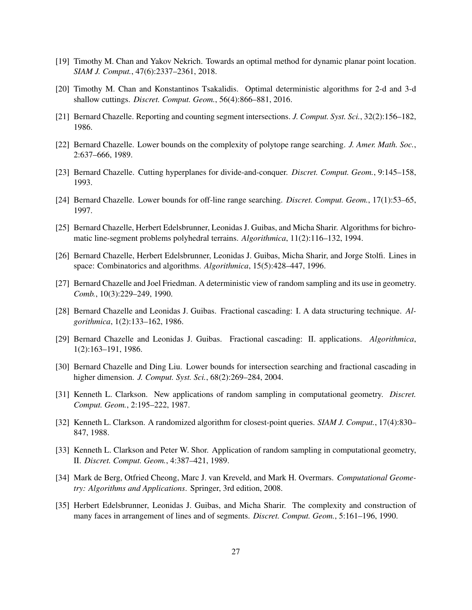- <span id="page-26-15"></span>[19] Timothy M. Chan and Yakov Nekrich. Towards an optimal method for dynamic planar point location. *SIAM J. Comput.*, 47(6):2337–2361, 2018.
- <span id="page-26-14"></span>[20] Timothy M. Chan and Konstantinos Tsakalidis. Optimal deterministic algorithms for 2-d and 3-d shallow cuttings. *Discret. Comput. Geom.*, 56(4):866–881, 2016.
- <span id="page-26-0"></span>[21] Bernard Chazelle. Reporting and counting segment intersections. *J. Comput. Syst. Sci.*, 32(2):156–182, 1986.
- <span id="page-26-3"></span>[22] Bernard Chazelle. Lower bounds on the complexity of polytope range searching. *J. Amer. Math. Soc.*, 2:637–666, 1989.
- <span id="page-26-1"></span>[23] Bernard Chazelle. Cutting hyperplanes for divide-and-conquer. *Discret. Comput. Geom.*, 9:145–158, 1993.
- <span id="page-26-4"></span>[24] Bernard Chazelle. Lower bounds for off-line range searching. *Discret. Comput. Geom.*, 17(1):53–65, 1997.
- <span id="page-26-16"></span>[25] Bernard Chazelle, Herbert Edelsbrunner, Leonidas J. Guibas, and Micha Sharir. Algorithms for bichromatic line-segment problems polyhedral terrains. *Algorithmica*, 11(2):116–132, 1994.
- <span id="page-26-10"></span>[26] Bernard Chazelle, Herbert Edelsbrunner, Leonidas J. Guibas, Micha Sharir, and Jorge Stolfi. Lines in space: Combinatorics and algorithms. *Algorithmica*, 15(5):428–447, 1996.
- <span id="page-26-11"></span>[27] Bernard Chazelle and Joel Friedman. A deterministic view of random sampling and its use in geometry. *Comb.*, 10(3):229–249, 1990.
- <span id="page-26-6"></span>[28] Bernard Chazelle and Leonidas J. Guibas. Fractional cascading: I. A data structuring technique. *Algorithmica*, 1(2):133–162, 1986.
- <span id="page-26-7"></span>[29] Bernard Chazelle and Leonidas J. Guibas. Fractional cascading: II. applications. *Algorithmica*, 1(2):163–191, 1986.
- <span id="page-26-8"></span>[30] Bernard Chazelle and Ding Liu. Lower bounds for intersection searching and fractional cascading in higher dimension. *J. Comput. Syst. Sci.*, 68(2):269–284, 2004.
- <span id="page-26-12"></span>[31] Kenneth L. Clarkson. New applications of random sampling in computational geometry. *Discret. Comput. Geom.*, 2:195–222, 1987.
- <span id="page-26-13"></span>[32] Kenneth L. Clarkson. A randomized algorithm for closest-point queries. *SIAM J. Comput.*, 17(4):830– 847, 1988.
- <span id="page-26-9"></span>[33] Kenneth L. Clarkson and Peter W. Shor. Application of random sampling in computational geometry, II. *Discret. Comput. Geom.*, 4:387–421, 1989.
- <span id="page-26-2"></span>[34] Mark de Berg, Otfried Cheong, Marc J. van Kreveld, and Mark H. Overmars. *Computational Geometry: Algorithms and Applications*. Springer, 3rd edition, 2008.
- <span id="page-26-5"></span>[35] Herbert Edelsbrunner, Leonidas J. Guibas, and Micha Sharir. The complexity and construction of many faces in arrangement of lines and of segments. *Discret. Comput. Geom.*, 5:161–196, 1990.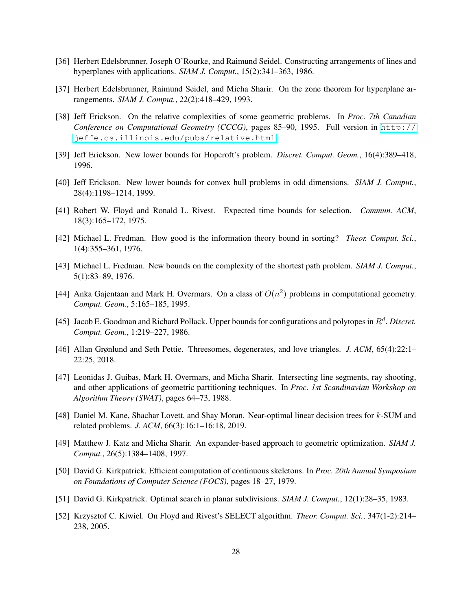- <span id="page-27-9"></span>[36] Herbert Edelsbrunner, Joseph O'Rourke, and Raimund Seidel. Constructing arrangements of lines and hyperplanes with applications. *SIAM J. Comput.*, 15(2):341–363, 1986.
- <span id="page-27-11"></span>[37] Herbert Edelsbrunner, Raimund Seidel, and Micha Sharir. On the zone theorem for hyperplane arrangements. *SIAM J. Comput.*, 22(2):418–429, 1993.
- <span id="page-27-2"></span>[38] Jeff Erickson. On the relative complexities of some geometric problems. In *Proc. 7th Canadian Conference on Computational Geometry (CCCG)*, pages 85–90, 1995. Full version in [http://](http://jeffe.cs.illinois.edu/pubs/relative.html) [jeffe.cs.illinois.edu/pubs/relative.html](http://jeffe.cs.illinois.edu/pubs/relative.html).
- <span id="page-27-1"></span>[39] Jeff Erickson. New lower bounds for Hopcroft's problem. *Discret. Comput. Geom.*, 16(4):389–418, 1996.
- <span id="page-27-15"></span>[40] Jeff Erickson. New lower bounds for convex hull problems in odd dimensions. *SIAM J. Comput.*, 28(4):1198–1214, 1999.
- <span id="page-27-12"></span>[41] Robert W. Floyd and Ronald L. Rivest. Expected time bounds for selection. *Commun. ACM*, 18(3):165–172, 1975.
- <span id="page-27-5"></span>[42] Michael L. Fredman. How good is the information theory bound in sorting? *Theor. Comput. Sci.*, 1(4):355–361, 1976.
- <span id="page-27-3"></span>[43] Michael L. Fredman. New bounds on the complexity of the shortest path problem. *SIAM J. Comput.*, 5(1):83–89, 1976.
- <span id="page-27-16"></span>[44] Anka Gajentaan and Mark H. Overmars. On a class of  $O(n^2)$  problems in computational geometry. *Comput. Geom.*, 5:165–185, 1995.
- <span id="page-27-10"></span>[45] Jacob E. Goodman and Richard Pollack. Upper bounds for configurations and polytopes in  $R<sup>d</sup>$ . Discret. *Comput. Geom.*, 1:219–227, 1986.
- <span id="page-27-4"></span>[46] Allan Grønlund and Seth Pettie. Threesomes, degenerates, and love triangles. *J. ACM*, 65(4):22:1– 22:25, 2018.
- <span id="page-27-0"></span>[47] Leonidas J. Guibas, Mark H. Overmars, and Micha Sharir. Intersecting line segments, ray shooting, and other applications of geometric partitioning techniques. In *Proc. 1st Scandinavian Workshop on Algorithm Theory (SWAT)*, pages 64–73, 1988.
- <span id="page-27-6"></span>[48] Daniel M. Kane, Shachar Lovett, and Shay Moran. Near-optimal linear decision trees for k-SUM and related problems. *J. ACM*, 66(3):16:1–16:18, 2019.
- <span id="page-27-7"></span>[49] Matthew J. Katz and Micha Sharir. An expander-based approach to geometric optimization. *SIAM J. Comput.*, 26(5):1384–1408, 1997.
- <span id="page-27-14"></span>[50] David G. Kirkpatrick. Efficient computation of continuous skeletons. In *Proc. 20th Annual Symposium on Foundations of Computer Science (FOCS)*, pages 18–27, 1979.
- <span id="page-27-8"></span>[51] David G. Kirkpatrick. Optimal search in planar subdivisions. *SIAM J. Comput.*, 12(1):28–35, 1983.
- <span id="page-27-13"></span>[52] Krzysztof C. Kiwiel. On Floyd and Rivest's SELECT algorithm. *Theor. Comput. Sci.*, 347(1-2):214– 238, 2005.